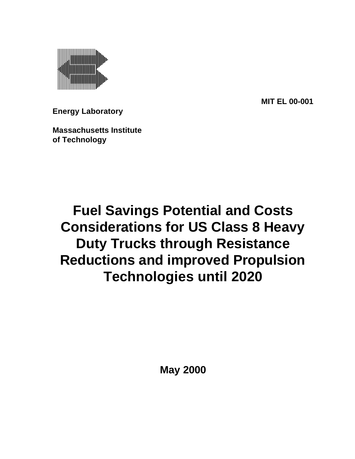

**MIT EL 00-001**

**Energy Laboratory**

**Massachusetts Institute of Technology**

# **Fuel Savings Potential and Costs Considerations for US Class 8 Heavy Duty Trucks through Resistance Reductions and improved Propulsion Technologies until 2020**

**May 2000**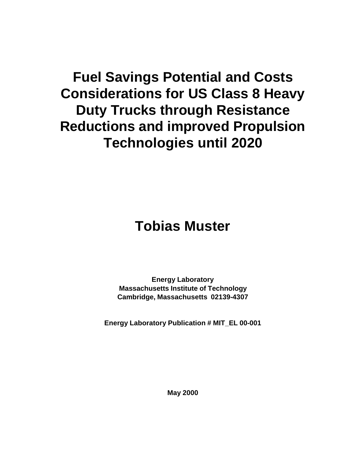# **Fuel Savings Potential and Costs Considerations for US Class 8 Heavy Duty Trucks through Resistance Reductions and improved Propulsion Technologies until 2020**

# **Tobias Muster**

**Energy Laboratory Massachusetts Institute of Technology Cambridge, Massachusetts 02139-4307**

**Energy Laboratory Publication # MIT\_EL 00-001**

**May 2000**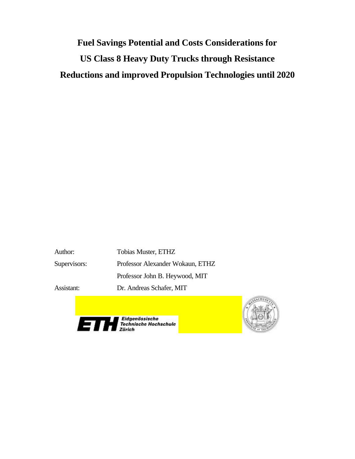# **Fuel Savings Potential and Costs Considerations for US Class 8 Heavy Duty Trucks through Resistance Reductions and improved Propulsion Technologies until 2020**

Author: Tobias Muster, ETHZ Supervisors: Professor Alexander Wokaun, ETHZ Professor John B. Heywood, MIT Assistant: Dr. Andreas Schafer, MIT



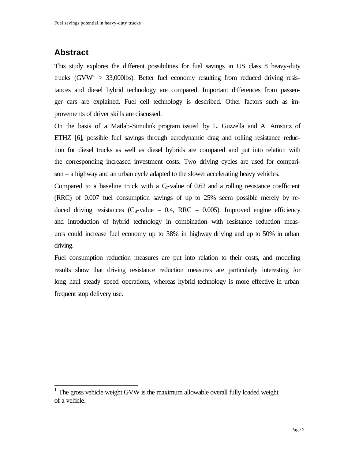# **Abstract**

 $\overline{a}$ 

This study explores the different possibilities for fuel savings in US class 8 heavy-duty trucks (GVW<sup>1</sup> > 33,000lbs). Better fuel economy resulting from reduced driving resistances and diesel hybrid technology are compared. Important differences from passenger cars are explained. Fuel cell technology is described. Other factors such as improvements of driver skills are discussed.

On the basis of a Matlab-Simulink program issued by L. Guzzella and A. Amstutz of ETHZ [6], possible fuel savings through aerodynamic drag and rolling resistance reduction for diesel trucks as well as diesel hybrids are compared and put into relation with the corresponding increased investment costs. Two driving cycles are used for comparison – a highway and an urban cycle adapted to the slower accelerating heavy vehicles.

Compared to a baseline truck with a  $C_d$ -value of 0.62 and a rolling resistance coefficient (RRC) of 0.007 fuel consumption savings of up to 25% seem possible merely by reduced driving resistances ( $C_d$ -value = 0.4, RRC = 0.005). Improved engine efficiency and introduction of hybrid technology in combination with resistance reduction measures could increase fuel economy up to 38% in highway driving and up to 50% in urban driving.

Fuel consumption reduction measures are put into relation to their costs, and modeling results show that driving resistance reduction measures are particularly interesting for long haul steady speed operations, whereas hybrid technology is more effective in urban frequent stop delivery use.

<sup>1</sup> The gross vehicle weight GVW is the maximum allowable overall fully loaded weight of a vehicle.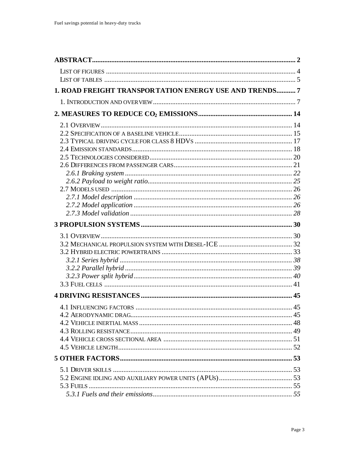| 1. ROAD FREIGHT TRANSPORTATION ENERGY USE AND TRENDS7 |  |
|-------------------------------------------------------|--|
|                                                       |  |
|                                                       |  |
|                                                       |  |
|                                                       |  |
|                                                       |  |
|                                                       |  |
|                                                       |  |
|                                                       |  |
|                                                       |  |
|                                                       |  |
|                                                       |  |
|                                                       |  |
|                                                       |  |
|                                                       |  |
|                                                       |  |
|                                                       |  |
|                                                       |  |
|                                                       |  |
|                                                       |  |
|                                                       |  |
|                                                       |  |
|                                                       |  |
|                                                       |  |
|                                                       |  |
|                                                       |  |
|                                                       |  |
|                                                       |  |
|                                                       |  |
|                                                       |  |
|                                                       |  |
|                                                       |  |
|                                                       |  |
|                                                       |  |
|                                                       |  |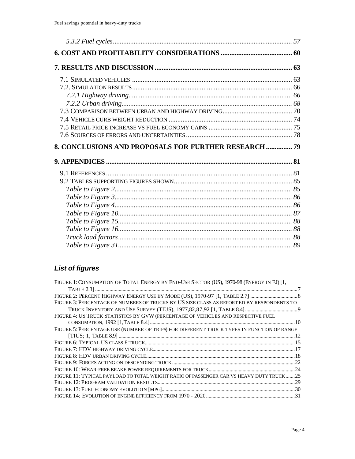| 8. CONCLUSIONS AND PROPOSALS FOR FURTHER RESEARCH  79 |  |
|-------------------------------------------------------|--|
|                                                       |  |
|                                                       |  |
|                                                       |  |
|                                                       |  |
|                                                       |  |
|                                                       |  |
|                                                       |  |
|                                                       |  |
|                                                       |  |
|                                                       |  |
|                                                       |  |

# **List of figures**

| FIGURE 1: CONSUMPTION OF TOTAL ENERGY BY END-USE SECTOR (US), 1970-98 (ENERGY IN EJ) [1,  |  |
|-------------------------------------------------------------------------------------------|--|
|                                                                                           |  |
|                                                                                           |  |
| FIGURE 3: PERCENTAGE OF NUMBERS OF TRUCKS BY US SIZE CLASS AS REPORT ED BY RESPONDENTS TO |  |
|                                                                                           |  |
| FIGURE 4: US TRUCK STATISTICS BY GVW (PERCENTAGE OF VEHICLES AND RESPECTIVE FUEL          |  |
|                                                                                           |  |
| FIGURE 5: PERCENTAGE USE (NUMBER OF TRIPS) FOR DIFFERENT TRUCK TYPES IN FUNCTION OF RANGE |  |
| $[TIUS; 1, TABLE 8.9] \dots 12$                                                           |  |
|                                                                                           |  |
|                                                                                           |  |
|                                                                                           |  |
|                                                                                           |  |
|                                                                                           |  |
| FIGURE 11: TYPICAL PAYLOAD TO TOTAL WEIGHT RATIO OF PASSENGER CAR VS HEAVY DUTY TRUCK25   |  |
|                                                                                           |  |
|                                                                                           |  |
|                                                                                           |  |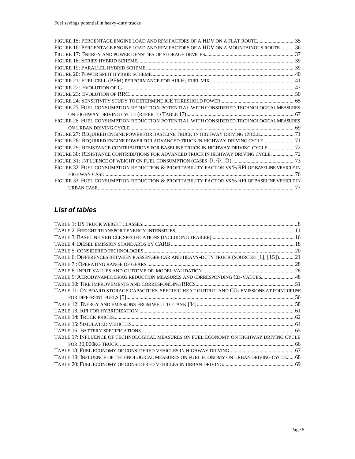| FIGURE 15: PERCENTAGE ENGINE LOAD AND RPM FACTORS OF A HDV ON A FLAT ROUTE35                 |  |
|----------------------------------------------------------------------------------------------|--|
| FIGURE 16: PERCENTAGE ENGINE LOAD AND RPM FACTORS OF A HDV ON A MOUNTAINOUS ROUTE 36         |  |
|                                                                                              |  |
|                                                                                              |  |
|                                                                                              |  |
|                                                                                              |  |
|                                                                                              |  |
|                                                                                              |  |
|                                                                                              |  |
|                                                                                              |  |
| FIGURE 25: FUEL CONSUMPTION REDUCTION POTENTIAL WITH CONSIDERED TECHNOLOGICAL MEASURES       |  |
|                                                                                              |  |
| FIGURE 26: FUEL CONSUMPTION REDUCTION POTENTIAL WITH CONSIDERED TECHNOLOGICAL MEASURES       |  |
|                                                                                              |  |
| FIGURE 27: REQUIRED ENGINE POWER FOR BASELINE TRUCK IN HIGHWAY DRIVING CYCLE                 |  |
| FIGURE 28: REQUIRED ENGINE POWER FOR ADVANCED TRUCK IN HIGHWAY DRIVING CYCLE 71              |  |
| FIGURE 29: RESISTANCE CONTRIBUTIONS FOR BASELINE TRUCK IN HIGHWAY DRIVING CYCLE              |  |
| FIGURE 30: RESISTANCE CONTRIBUTIONS FOR ADVANCED TRUCK IN HIGHWAY DRIVING CYCLE              |  |
|                                                                                              |  |
| FIGURE 32: FUEL CONSUMPTION REDUCTION & PROFITABILITY FACTOR VS % RPI OF BASELINE VEHICLE IN |  |
|                                                                                              |  |
| FIGURE 33: FUEL CONSUMPTION REDUCTION & PROFITABILITY FACTOR VS % RPI OF BASELINE VEHICLE IN |  |
|                                                                                              |  |

# *List of tables*

| TABLE 6: DIFFERENCES BETWEEN PASSENGER CAR AND HEAVY-DUTY TRUCK (SOURCES: [1], [15] 21                    |  |
|-----------------------------------------------------------------------------------------------------------|--|
|                                                                                                           |  |
|                                                                                                           |  |
| TABLE 9: AERODYNAMIC DRAG REDUCTION MEASURES AND CORRESPONDING CD-VALUES 48                               |  |
|                                                                                                           |  |
| TABLE 11: ON BOARD STORAGE CAPACITIES, SPECIFIC HEAT OUTPUT AND CO <sub>2</sub> EMISSIONS AT POINT OF USE |  |
|                                                                                                           |  |
|                                                                                                           |  |
|                                                                                                           |  |
|                                                                                                           |  |
|                                                                                                           |  |
|                                                                                                           |  |
| TABLE 17: INFLUENCE OF TECHNOLOGICAL MEASURES ON FUEL ECONOMY ON HIGHWAY DRIVING CYCLE                    |  |
|                                                                                                           |  |
|                                                                                                           |  |
| TABLE 19: INFLUENCE OF TECHNOLOGICAL MEASURES ON FUEL ECONOMY ON URBAN DRIVING CYCLE68                    |  |
|                                                                                                           |  |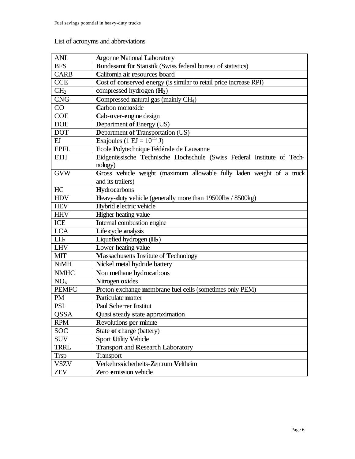## List of acronyms and abbreviations

| <b>ANL</b>      | <b>Argonne National Laboratory</b>                                     |
|-----------------|------------------------------------------------------------------------|
| <b>BFS</b>      | Bundesamt für Statistik (Swiss federal bureau of statistics)           |
| <b>CARB</b>     | California air resources board                                         |
| <b>CCE</b>      | Cost of conserved energy (is similar to retail price increase RPI)     |
| CH <sub>2</sub> | compressed hydrogen $(H_2)$                                            |
| <b>CNG</b>      | Compressed natural gas (mainly CH <sub>4</sub> )                       |
| CO              | Carbon monoxide                                                        |
| <b>COE</b>      | Cab-over-engine design                                                 |
| <b>DOE</b>      | <b>Department of Energy (US)</b>                                       |
| <b>DOT</b>      | <b>Department of Transportation (US)</b>                               |
| EJ              | Exajoules (1 EJ = $10^{15}$ J)                                         |
| <b>EPFL</b>     | Ecole Polytechnique Fédérale de Lausanne                               |
| <b>ETH</b>      | Eidgenössische Technische Hochschule (Swiss Federal Institute of Tech- |
|                 | nology)                                                                |
| <b>GVW</b>      | Gross vehicle weight (maximum allowable fully laden weight of a truck  |
|                 | and its trailers)                                                      |
| HC              | Hydrocarbons                                                           |
| <b>HDV</b>      | Heavy-duty vehicle (generally more than 19500lbs / 8500kg)             |
| <b>HEV</b>      | Hybrid electric vehicle                                                |
| <b>HHV</b>      | <b>Higher heating value</b>                                            |
| ICE             | Internal combustion engine                                             |
| <b>LCA</b>      | Life cycle analysis                                                    |
| LH <sub>2</sub> | Liquefied hydrogen $(H_2)$                                             |
| <b>LHV</b>      | Lower heating value                                                    |
| <b>MIT</b>      | Massachusetts Institute of Technology                                  |
| <b>NiMH</b>     | Nickel metal hydride battery                                           |
| <b>NMHC</b>     | Non methane hydrocarbons                                               |
| NO <sub>x</sub> | Nitrogen oxides                                                        |
| <b>PEMFC</b>    | Proton exchange membrane fuel cells (sometimes only PEM)               |
| <b>PM</b>       | Particulate matter                                                     |
| <b>PSI</b>      | <b>Paul Scherrer Institut</b>                                          |
| <b>QSSA</b>     | Quasi steady state approximation                                       |
| <b>RPM</b>      | <b>Revolutions per minute</b>                                          |
| <b>SOC</b>      | State of charge (battery)                                              |
| <b>SUV</b>      | <b>Sport Utility Vehicle</b>                                           |
| <b>TRRL</b>     | <b>Transport and Research Laboratory</b>                               |
| <b>Trsp</b>     | <b>Transport</b>                                                       |
| <b>VSZV</b>     | Verkehrssicherheits-Zentrum Veltheim                                   |
| <b>ZEV</b>      | Zero emission vehicle                                                  |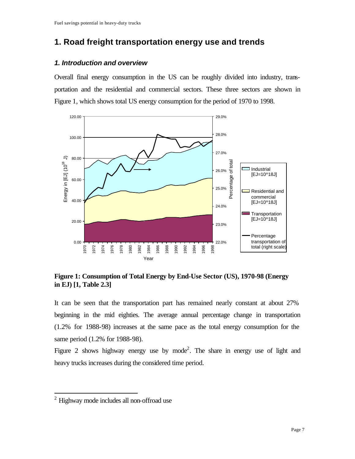# **1. Road freight transportation energy use and trends**

## *1. Introduction and overview*

Overall final energy consumption in the US can be roughly divided into industry, transportation and the residential and commercial sectors. These three sectors are shown in Figure 1, which shows total US energy consumption for the period of 1970 to 1998.



**Figure 1: Consumption of Total Energy by End-Use Sector (US), 1970-98 (Energy in EJ) [1, Table 2.3]**

It can be seen that the transportation part has remained nearly constant at about 27% beginning in the mid eighties. The average annual percentage change in transportation (1.2% for 1988-98) increases at the same pace as the total energy consumption for the same period (1.2% for 1988-98).

Figure 2 shows highway energy use by mode<sup>2</sup>. The share in energy use of light and heavy trucks increases during the considered time period.

 $2$  Highway mode includes all non-offroad use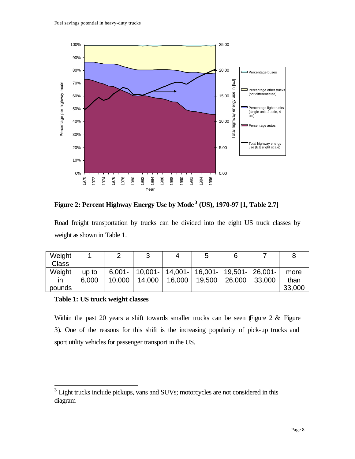

**Figure 2: Percent Highway Energy Use by Mode <sup>3</sup> (US), 1970-97 [1, Table 2.7]**

Road freight transportation by trucks can be divided into the eight US truck classes by weight as shown in Table 1.

| Weight       |       |           |                                                                            |        | 5      |        |        |        |
|--------------|-------|-----------|----------------------------------------------------------------------------|--------|--------|--------|--------|--------|
| <b>Class</b> |       |           |                                                                            |        |        |        |        |        |
| Weight       | up to | $6.001 -$ | $\mid$ 10,001- $\mid$ 14,001- $\mid$ 16,001- $\mid$ 19,501- $\mid$ 26,001- |        |        |        |        | more   |
| ın           | 6,000 | 10,000    | 14,000                                                                     | 16,000 | 19,500 | 26,000 | 33,000 | than   |
| pounds       |       |           |                                                                            |        |        |        |        | 33,000 |

#### **Table 1: US truck weight classes**

 $\overline{a}$ 

Within the past 20 years a shift towards smaller trucks can be seen (Figure  $2 \&$  Figure 3). One of the reasons for this shift is the increasing popularity of pick-up trucks and sport utility vehicles for passenger transport in the US.

<sup>&</sup>lt;sup>3</sup> Light trucks include pickups, vans and SUVs; motorcycles are not considered in this diagram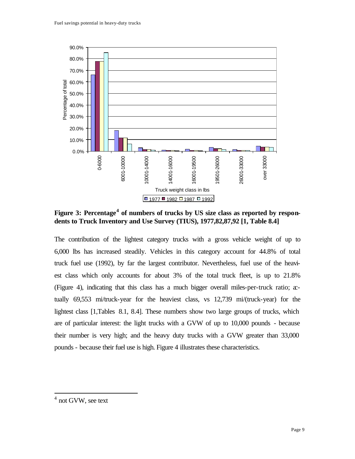

**Figure 3: Percentage<sup>4</sup> of numbers of trucks by US size class as reported by respondents to Truck Inventory and Use Survey (TIUS), 1977,82,87,92 [1, Table 8.4]**

The contribution of the lightest category trucks with a gross vehicle weight of up to 6,000 lbs has increased steadily. Vehicles in this category account for 44.8% of total truck fuel use (1992), by far the largest contributor. Nevertheless, fuel use of the heaviest class which only accounts for about 3% of the total truck fleet, is up to 21.8% (Figure 4), indicating that this class has a much bigger overall miles-per-truck ratio; actually 69,553 mi/truck-year for the heaviest class, vs 12,739 mi/(truck-year) for the lightest class [1,Tables 8.1, 8.4]. These numbers show two large groups of trucks, which are of particular interest: the light trucks with a GVW of up to 10,000 pounds - because their number is very high; and the heavy duty trucks with a GVW greater than 33,000 pounds - because their fuel use is high. Figure 4 illustrates these characteristics.

<sup>4</sup> not GVW, see text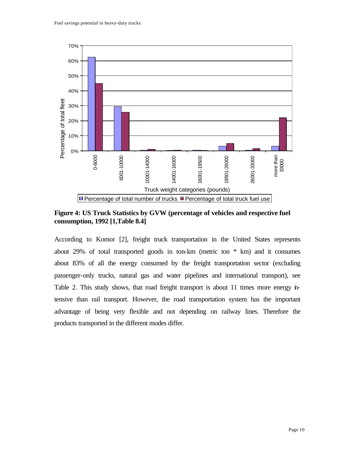

**Figure 4: US Truck Statistics by GVW (percentage of vehicles and respective fuel consumption, 1992 [1,Table 8.4]**

According to Komor [2], freight truck transportation in the United States represents about 29% of total transported goods in ton-km (metric ton \* km) and it consumes about 83% of all the energy consumed by the freight transportation sector (excluding passenger-only trucks, natural gas and water pipelines and international transport), see Table 2. This study shows, that road freight transport is about 11 times more energy intensive than rail transport. However, the road transportation system has the important advantage of being very flexible and not depending on railway lines. Therefore the products transported in the different modes differ.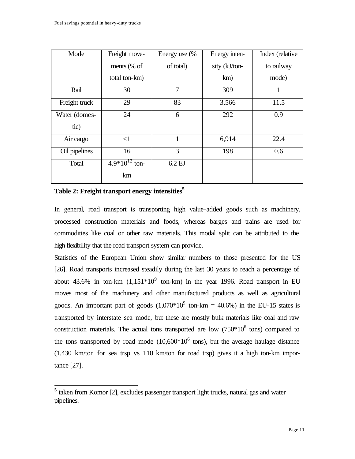| Mode          | Freight move-      | Energy use (% | Energy inten- | Index (relative |
|---------------|--------------------|---------------|---------------|-----------------|
|               | ments $%$ of       | of total)     | sity (kJ/ton- | to railway      |
|               | total ton-km)      |               | km)           | mode)           |
| Rail          | 30                 | 7             | 309           | 1               |
| Freight truck | 29                 | 83            | 3,566         | 11.5            |
| Water (domes- | 24                 | 6             | 292           | 0.9             |
| tic)          |                    |               |               |                 |
| Air cargo     | $\leq$ 1           | 1             | 6,914         | 22.4            |
| Oil pipelines | 16                 | 3             | 198           | 0.6             |
| Total         | $4.9*10^{12}$ ton- | 6.2 EJ        |               |                 |
|               | km                 |               |               |                 |

#### **Table 2: Freight transport energy intensities<sup>5</sup>**

 $\overline{a}$ 

In general, road transport is transporting high value-added goods such as machinery, processed construction materials and foods, whereas barges and trains are used for commodities like coal or other raw materials. This modal split can be attributed to the high flexibility that the road transport system can provide.

Statistics of the European Union show similar numbers to those presented for the US [26]. Road transports increased steadily during the last 30 years to reach a percentage of about 43.6% in ton-km  $(1,151*10^9)$  ton-km) in the year 1996. Road transport in EU moves most of the machinery and other manufactured products as well as agricultural goods. An important part of goods  $(1,070*10^9 \text{ ton-km} = 40.6%)$  in the EU-15 states is transported by interstate sea mode, but these are mostly bulk materials like coal and raw construction materials. The actual tons transported are low  $(750*10<sup>6</sup>$  tons) compared to the tons transported by road mode  $(10,600*10<sup>6</sup>$  tons), but the average haulage distance (1,430 km/ton for sea trsp vs 110 km/ton for road trsp) gives it a high ton-km importance [27].

<sup>&</sup>lt;sup>5</sup> taken from Komor [2], excludes passenger transport light trucks, natural gas and water pipelines.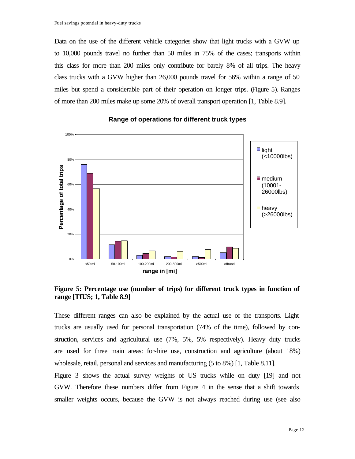Data on the use of the different vehicle categories show that light trucks with a GVW up to 10,000 pounds travel no further than 50 miles in 75% of the cases; transports within this class for more than 200 miles only contribute for barely 8% of all trips. The heavy class trucks with a GVW higher than 26,000 pounds travel for 56% within a range of 50 miles but spend a considerable part of their operation on longer trips. (Figure 5). Ranges of more than 200 miles make up some 20% of overall transport operation [1, Table 8.9].



#### **Range of operations for different truck types**

**Figure 5: Percentage use (number of trips) for different truck types in function of range [TIUS; 1, Table 8.9]**

These different ranges can also be explained by the actual use of the transports. Light trucks are usually used for personal transportation (74% of the time), followed by construction, services and agricultural use (7%, 5%, 5% respectively). Heavy duty trucks are used for three main areas: for-hire use, construction and agriculture (about 18%) wholesale, retail, personal and services and manufacturing (5 to 8%) [1, Table 8.11].

Figure 3 shows the actual survey weights of US trucks while on duty [19] and not GVW. Therefore these numbers differ from Figure 4 in the sense that a shift towards smaller weights occurs, because the GVW is not always reached during use (see also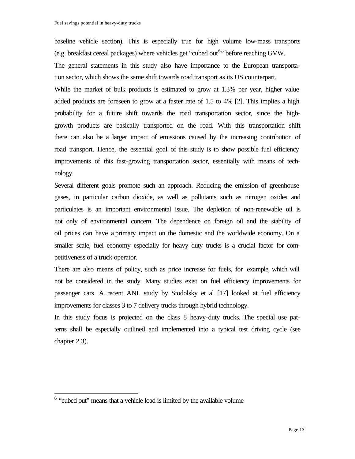baseline vehicle section). This is especially true for high volume low-mass transports (e.g. breakfast cereal packages) where vehicles get "cubed out<sup>6</sup>" before reaching GVW.

The general statements in this study also have importance to the European transportation sector, which shows the same shift towards road transport as its US counterpart.

While the market of bulk products is estimated to grow at 1.3% per year, higher value added products are foreseen to grow at a faster rate of 1.5 to 4% [2]. This implies a high probability for a future shift towards the road transportation sector, since the highgrowth products are basically transported on the road. With this transportation shift there can also be a larger impact of emissions caused by the increasing contribution of road transport. Hence, the essential goal of this study is to show possible fuel efficiency improvements of this fast-growing transportation sector, essentially with means of technology.

Several different goals promote such an approach. Reducing the emission of greenhouse gases, in particular carbon dioxide, as well as pollutants such as nitrogen oxides and particulates is an important environmental issue. The depletion of non-renewable oil is not only of environmental concern. The dependence on foreign oil and the stability of oil prices can have a primary impact on the domestic and the worldwide economy. On a smaller scale, fuel economy especially for heavy duty trucks is a crucial factor for competitiveness of a truck operator.

There are also means of policy, such as price increase for fuels, for example, which will not be considered in the study. Many studies exist on fuel efficiency improvements for passenger cars. A recent ANL study by Stodolsky et al [17] looked at fuel efficiency improvements for classes 3 to 7 delivery trucks through hybrid technology.

In this study focus is projected on the class 8 heavy-duty trucks. The special use patterns shall be especially outlined and implemented into a typical test driving cycle (see chapter 2.3).

<sup>&</sup>lt;sup>6</sup> "cubed out" means that a vehicle load is limited by the available volume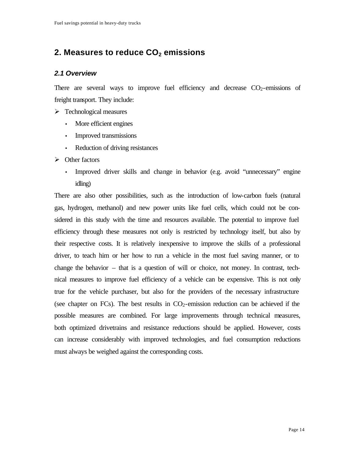# **2. Measures to reduce CO2 emissions**

## *2.1 Overview*

There are several ways to improve fuel efficiency and decrease  $CO<sub>2</sub>$ -emissions of freight transport. They include:

 $\triangleright$  Technological measures

- More efficient engines
- Improved transmissions
- Reduction of driving resistances
- $\triangleright$  Other factors
	- Improved driver skills and change in behavior (e.g. avoid "unnecessary" engine idling)

There are also other possibilities, such as the introduction of low-carbon fuels (natural gas, hydrogen, methanol) and new power units like fuel cells, which could not be considered in this study with the time and resources available. The potential to improve fuel efficiency through these measures not only is restricted by technology itself, but also by their respective costs. It is relatively inexpensive to improve the skills of a professional driver, to teach him or her how to run a vehicle in the most fuel saving manner, or to change the behavior – that is a question of will or choice, not money. In contrast, technical measures to improve fuel efficiency of a vehicle can be expensive. This is not only true for the vehicle purchaser, but also for the providers of the necessary infrastructure (see chapter on FCs). The best results in  $CO<sub>2</sub>$ -emission reduction can be achieved if the possible measures are combined. For large improvements through technical measures, both optimized drivetrains and resistance reductions should be applied. However, costs can increase considerably with improved technologies, and fuel consumption reductions must always be weighed against the corresponding costs.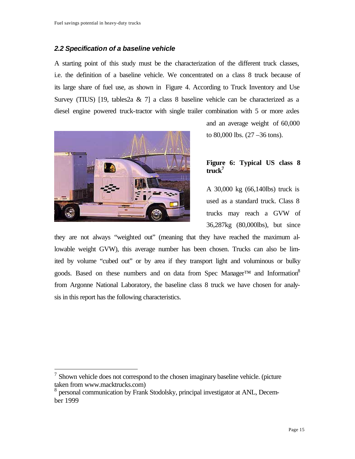#### *2.2 Specification of a baseline vehicle*

A starting point of this study must be the characterization of the different truck classes, i.e. the definition of a baseline vehicle. We concentrated on a class 8 truck because of its large share of fuel use, as shown in Figure 4. According to Truck Inventory and Use Survey (TIUS) [19, tables  $2a \& 7$ ] a class 8 baseline vehicle can be characterized as a diesel engine powered truck-tractor with single trailer combination with 5 or more axles



 $\overline{a}$ 

and an average weight of 60,000 to 80,000 lbs. (27 –36 tons).

## **Figure 6: Typical US class 8 truck<sup>7</sup>**

A 30,000 kg (66,140lbs) truck is used as a standard truck. Class 8 trucks may reach a GVW of 36,287kg (80,000lbs), but since

they are not always "weighted out" (meaning that they have reached the maximum allowable weight GVW), this average number has been chosen. Trucks can also be limited by volume "cubed out" or by area if they transport light and voluminous or bulky goods. Based on these numbers and on data from Spec Manager<sup>TM</sup> and Information<sup>8</sup> from Argonne National Laboratory, the baseline class 8 truck we have chosen for analysis in this report has the following characteristics.

 $<sup>7</sup>$  Shown vehicle does not correspond to the chosen imaginary baseline vehicle. (picture</sup> taken from www.macktrucks.com)

<sup>8</sup> personal communication by Frank Stodolsky, principal investigator at ANL, December 1999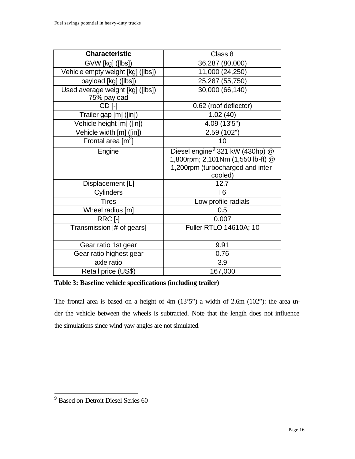| <b>Characteristic</b>                           | Class 8                                                                                                                          |
|-------------------------------------------------|----------------------------------------------------------------------------------------------------------------------------------|
| GVW [kg] ([lbs])                                | 36,287 (80,000)                                                                                                                  |
| Vehicle empty weight [kg] ([lbs])               | 11,000 (24,250)                                                                                                                  |
| payload [kg] ([lbs])                            | 25,287 (55,750)                                                                                                                  |
| Used average weight [kg] ([lbs])<br>75% payload | 30,000 (66,140)                                                                                                                  |
| CD <sub>I</sub> -                               | 0.62 (roof deflector)                                                                                                            |
| Trailer gap [m] ([in])                          | 1.02(40)                                                                                                                         |
| Vehicle height [m] ([in])                       | 4.09 (13'5")                                                                                                                     |
| Vehicle width [m] ([in])                        | 2.59 (102")                                                                                                                      |
| Frontal area $\lceil m^2 \rceil$                | 10                                                                                                                               |
| Engine                                          | Diesel engine <sup>9</sup> 321 kW (430hp) @<br>1,800rpm; 2,101Nm (1,550 lb-ft) @<br>1,200rpm (turbocharged and inter-<br>cooled) |
| Displacement [L]                                | 12.7                                                                                                                             |
| Cylinders                                       | 16                                                                                                                               |
| <b>Tires</b>                                    | Low profile radials                                                                                                              |
| Wheel radius [m]                                | 0.5                                                                                                                              |
| RRC [-]                                         | 0.007                                                                                                                            |
| Transmission [# of gears]                       | Fuller RTLO-14610A; 10                                                                                                           |
| Gear ratio 1st gear                             | 9.91                                                                                                                             |
| Gear ratio highest gear                         | 0.76                                                                                                                             |
| axle ratio                                      | 3.9                                                                                                                              |
| Retail price (US\$)                             | 167,000                                                                                                                          |

**Table 3: Baseline vehicle specifications (including trailer)**

The frontal area is based on a height of 4m (13'5") a width of 2.6m (102"): the area under the vehicle between the wheels is subtracted. Note that the length does not influence the simulations since wind yaw angles are not simulated.

<sup>&</sup>lt;sup>9</sup> Based on Detroit Diesel Series 60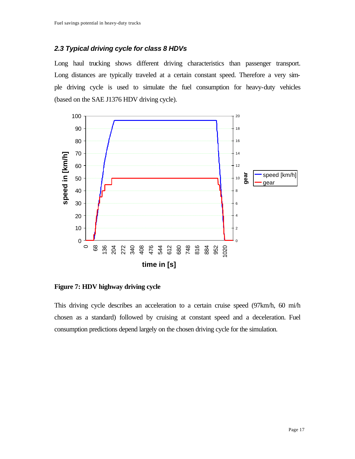## *2.3 Typical driving cycle for class 8 HDVs*

Long haul trucking shows different driving characteristics than passenger transport. Long distances are typically traveled at a certain constant speed. Therefore a very simple driving cycle is used to simulate the fuel consumption for heavy-duty vehicles (based on the SAE J1376 HDV driving cycle).



**Figure 7: HDV highway driving cycle**

This driving cycle describes an acceleration to a certain cruise speed (97km/h, 60 mi/h chosen as a standard) followed by cruising at constant speed and a deceleration. Fuel consumption predictions depend largely on the chosen driving cycle for the simulation.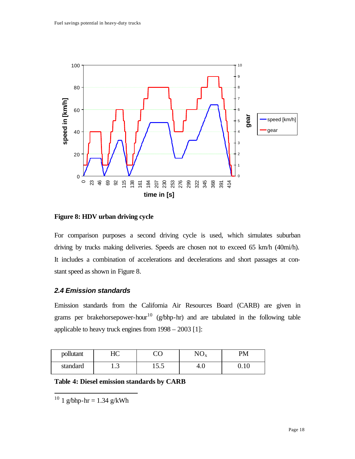

**Figure 8: HDV urban driving cycle**

For comparison purposes a second driving cycle is used, which simulates suburban driving by trucks making deliveries. Speeds are chosen not to exceed 65 km/h (40mi/h). It includes a combination of accelerations and decelerations and short passages at constant speed as shown in Figure 8.

## *2.4 Emission standards*

Emission standards from the California Air Resources Board (CARB) are given in grams per brakehorsepower-hour<sup>10</sup> (g/bhp-hr) and are tabulated in the following table applicable to heavy truck engines from 1998 – 2003 [1]:

| pollutant | $\tau$<br>⊥∟ | $\check{ }$ | $\mathbf{v} \mathbf{v}$ | PM     |
|-----------|--------------|-------------|-------------------------|--------|
| standard  | ر            | 1 J .J      | −.∪                     | v. 1 v |

**Table 4: Diesel emission standards by CARB**

 $10^{10}$  1 g/bhp-hr = 1.34 g/kWh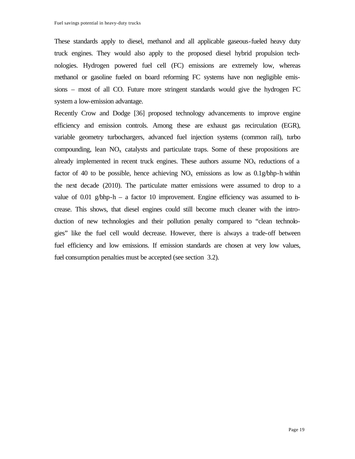These standards apply to diesel, methanol and all applicable gaseous-fueled heavy duty truck engines. They would also apply to the proposed diesel hybrid propulsion technologies. Hydrogen powered fuel cell (FC) emissions are extremely low, whereas methanol or gasoline fueled on board reforming FC systems have non negligible emissions – most of all CO. Future more stringent standards would give the hydrogen FC system a low-emission advantage.

Recently Crow and Dodge [36] proposed technology advancements to improve engine efficiency and emission controls. Among these are exhaust gas recirculation (EGR), variable geometry turbochargers, advanced fuel injection systems (common rail), turbo compounding, lean  $NO<sub>x</sub>$  catalysts and particulate traps. Some of these propositions are already implemented in recent truck engines. These authors assume  $NO<sub>x</sub>$  reductions of a factor of 40 to be possible, hence achieving  $NO_x$  emissions as low as  $0.1$ g/bhp-h within the next decade (2010). The particulate matter emissions were assumed to drop to a value of 0.01 g/bhp-h – a factor 10 improvement. Engine efficiency was assumed to increase. This shows, that diesel engines could still become much cleaner with the introduction of new technologies and their pollution penalty compared to "clean technologies" like the fuel cell would decrease. However, there is always a trade-off between fuel efficiency and low emissions. If emission standards are chosen at very low values, fuel consumption penalties must be accepted (see section 3.2).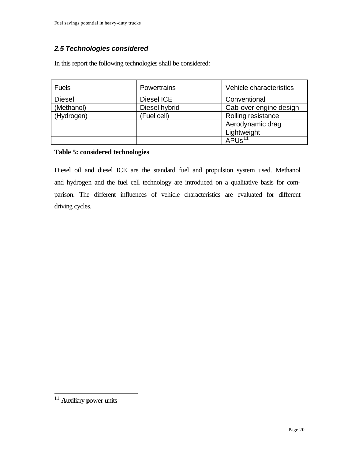# *2.5 Technologies considered*

In this report the following technologies shall be considered:

| <b>Fuels</b>  | Powertrains   | Vehicle characteristics |
|---------------|---------------|-------------------------|
| <b>Diesel</b> | Diesel ICE    | Conventional            |
| (Methanol)    | Diesel hybrid | Cab-over-engine design  |
| (Hydrogen)    | (Fuel cell)   | Rolling resistance      |
|               |               | Aerodynamic drag        |
|               |               | Lightweight             |
|               |               | APU $\overline{s^{11}}$ |

## **Table 5: considered technologies**

Diesel oil and diesel ICE are the standard fuel and propulsion system used. Methanol and hydrogen and the fuel cell technology are introduced on a qualitative basis for comparison. The different influences of vehicle characteristics are evaluated for different driving cycles.

<sup>11</sup> **A**uxiliary **p**ower **u**nits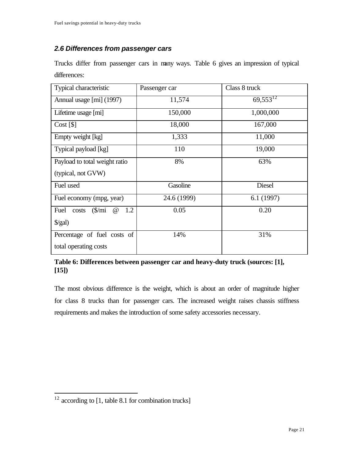## *2.6 Differences from passenger cars*

Trucks differ from passenger cars in many ways. Table 6 gives an impression of typical differences:

| <b>Typical characteristic</b>                             | Passenger car | Class 8 truck |
|-----------------------------------------------------------|---------------|---------------|
| Annual usage [mi] (1997)                                  | 11,574        | $69,553^{12}$ |
| Lifetime usage [mi]                                       | 150,000       | 1,000,000     |
| Cost [\$]                                                 | 18,000        | 167,000       |
| Empty weight [kg]                                         | 1,333         | 11,000        |
| Typical payload [kg]                                      | 110           | 19,000        |
| Payload to total weight ratio                             | 8%            | 63%           |
| (typical, not GVW)                                        |               |               |
| Fuel used                                                 | Gasoline      | <b>Diesel</b> |
| Fuel economy (mpg, year)                                  | 24.6 (1999)   | 6.1(1997)     |
| $\frac{\sin\theta}{\sin\theta}$<br>1.2<br>Fuel costs<br>@ | 0.05          | 0.20          |
| $\frac{\sqrt{2}}{2}$                                      |               |               |
| Percentage of fuel costs of                               | 14%           | 31%           |
| total operating costs                                     |               |               |

## **Table 6: Differences between passenger car and heavy-duty truck (sources: [1], [15])**

The most obvious difference is the weight, which is about an order of magnitude higher for class 8 trucks than for passenger cars. The increased weight raises chassis stiffness requirements and makes the introduction of some safety accessories necessary.

 $12$  according to [1, table 8.1 for combination trucks]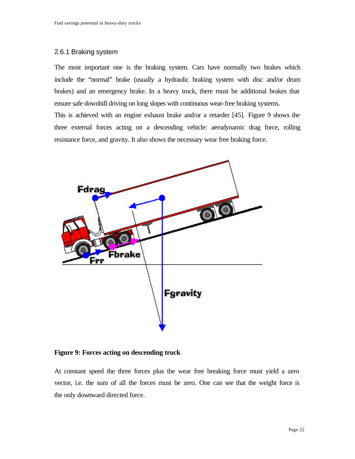#### 2.6.1 Braking system

The most important one is the braking system. Cars have normally two brakes which include the "normal" brake (usually a hydraulic braking system with disc and/or drum brakes) and an emergency brake. In a heavy truck, there must be additional brakes that ensure safe downhill driving on long slopes with continuous wear-free braking systems.

This is achieved with an engine exhaust brake and/or a retarder [45]. Figure 9 shows the three external forces acting on a descending vehicle: aerodynamic drag force, rolling resistance force, and gravity. It also shows the necessary wear free braking force.



**Figure 9: Forces acting on descending truck**

At constant speed the three forces plus the wear free breaking force must yield a zero vector, i.e. the sum of all the forces must be zero. One can see that the weight force is the only downward directed force.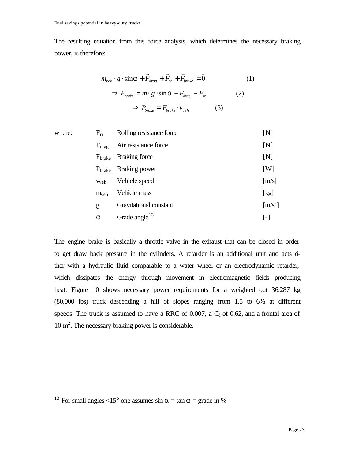The resulting equation from this force analysis, which determines the necessary braking power, is therefore:

$$
m_{veh} \cdot \vec{g} \cdot \sin \mathbf{a} + \vec{F}_{drag} + \vec{F}_{rr} + \vec{F}_{brake} = \vec{0}
$$
 (1)  

$$
\Rightarrow F_{brake} = m \cdot g \cdot \sin \mathbf{a} - F_{drag} - F_{rr}
$$
 (2)

$$
\Rightarrow P_{\text{brake}} = F_{\text{brake}} \cdot v_{\text{veh}} \tag{3}
$$

| where: | $F_{rr}$           | Rolling resistance force  | [N]                         |
|--------|--------------------|---------------------------|-----------------------------|
|        | $F_{drag}$         | Air resistance force      | [N]                         |
|        | $F_{\text{brake}}$ | Braking force             | [N]                         |
|        | $P_{\text{brake}}$ | Braking power             | [W]                         |
|        | V <sub>veh</sub>   | Vehicle speed             | [m/s]                       |
|        | $m_{veh}$          | Vehicle mass              | [kg]                        |
|        | g                  | Gravitational constant    | $\left[\text{m/s}^2\right]$ |
|        | $\alpha$           | Grade angle <sup>13</sup> | $\lceil - \rceil$           |
|        |                    |                           |                             |

The engine brake is basically a throttle valve in the exhaust that can be closed in order to get draw back pressure in the cylinders. A retarder is an additional unit and acts either with a hydraulic fluid comparable to a water wheel or an electrodynamic retarder, which dissipates the energy through movement in electromagnetic fields producing heat. Figure 10 shows necessary power requirements for a weighted out 36,287 kg (80,000 lbs) truck descending a hill of slopes ranging from 1.5 to 6% at different speeds. The truck is assumed to have a RRC of 0.007, a  $C_d$  of 0.62, and a frontal area of 10 m<sup>2</sup>. The necessary braking power is considerable.

<sup>&</sup>lt;sup>13</sup> For small angles <15° one assumes sin  $\alpha$  = tan  $\alpha$  = grade in %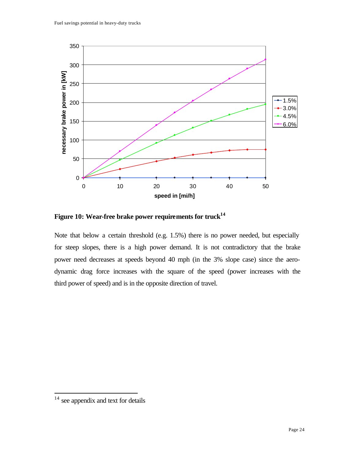

**Figure 10: Wear-free brake power requirements for truck<sup>14</sup>**

Note that below a certain threshold (e.g. 1.5%) there is no power needed, but especially for steep slopes, there is a high power demand. It is not contradictory that the brake power need decreases at speeds beyond 40 mph (in the 3% slope case) since the aerodynamic drag force increases with the square of the speed (power increases with the third power of speed) and is in the opposite direction of travel.

 $14$  see appendix and text for details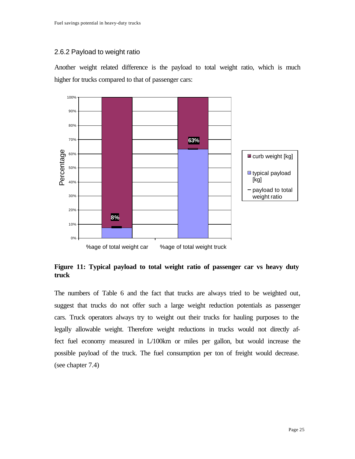## 2.6.2 Payload to weight ratio

Another weight related difference is the payload to total weight ratio, which is much higher for trucks compared to that of passenger cars:



**Figure 11: Typical payload to total weight ratio of passenger car vs heavy duty truck**

The numbers of Table 6 and the fact that trucks are always tried to be weighted out, suggest that trucks do not offer such a large weight reduction potentials as passenger cars. Truck operators always try to weight out their trucks for hauling purposes to the legally allowable weight. Therefore weight reductions in trucks would not directly affect fuel economy measured in L/100km or miles per gallon, but would increase the possible payload of the truck. The fuel consumption per ton of freight would decrease. (see chapter 7.4)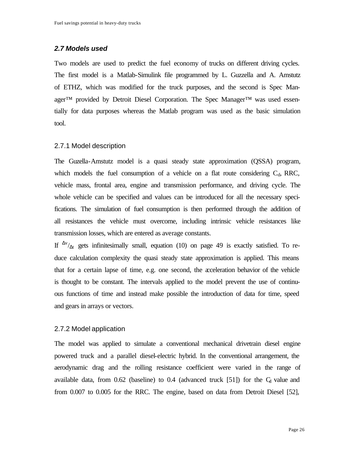#### *2.7 Models used*

Two models are used to predict the fuel economy of trucks on different driving cycles. The first model is a Matlab-Simulink file programmed by L. Guzzella and A. Amstutz of ETHZ, which was modified for the truck purposes, and the second is Spec Manager™ provided by Detroit Diesel Corporation. The Spec Manager™ was used essentially for data purposes whereas the Matlab program was used as the basic simulation tool.

#### 2.7.1 Model description

The Guzella-Amstutz model is a quasi steady state approximation (QSSA) program, which models the fuel consumption of a vehicle on a flat route considering  $C_d$ , RRC, vehicle mass, frontal area, engine and transmission performance, and driving cycle. The whole vehicle can be specified and values can be introduced for all the necessary specifications. The simulation of fuel consumption is then performed through the addition of all resistances the vehicle must overcome, including intrinsic vehicle resistances like transmission losses, which are entered as average constants.

If  $\frac{\Delta v}{\Delta t}$  gets infinitesimally small, equation (10) on page 49 is exactly satisfied. To reduce calculation complexity the quasi steady state approximation is applied. This means that for a certain lapse of time, e.g. one second, the acceleration behavior of the vehicle is thought to be constant. The intervals applied to the model prevent the use of continuous functions of time and instead make possible the introduction of data for time, speed and gears in arrays or vectors.

#### 2.7.2 Model application

The model was applied to simulate a conventional mechanical drivetrain diesel engine powered truck and a parallel diesel-electric hybrid. In the conventional arrangement, the aerodynamic drag and the rolling resistance coefficient were varied in the range of available data, from  $0.62$  (baseline) to  $0.4$  (advanced truck [51]) for the  $C_d$  value and from 0.007 to 0.005 for the RRC. The engine, based on data from Detroit Diesel [52],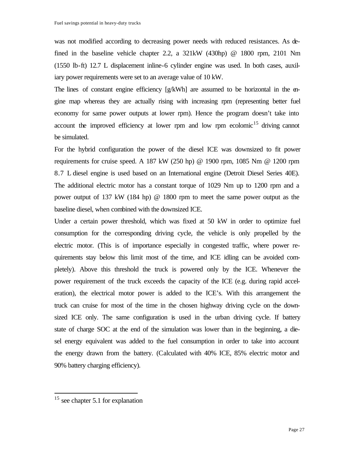was not modified according to decreasing power needs with reduced resistances. As defined in the baseline vehicle chapter 2.2, a 321kW (430hp) @ 1800 rpm, 2101 Nm (1550 lb-ft) 12.7 L displacement inline-6 cylinder engine was used. In both cases, auxiliary power requirements were set to an average value of 10 kW.

The lines of constant engine efficiency  $[g/kWh]$  are assumed to be horizontal in the engine map whereas they are actually rising with increasing rpm (representing better fuel economy for same power outputs at lower rpm). Hence the program doesn't take into account the improved efficiency at lower rpm and low rpm ecolomic<sup>15</sup> driving cannot be simulated.

For the hybrid configuration the power of the diesel ICE was downsized to fit power requirements for cruise speed. A 187 kW (250 hp) @ 1900 rpm, 1085 Nm @ 1200 rpm 8.7 L diesel engine is used based on an International engine (Detroit Diesel Series 40E). The additional electric motor has a constant torque of 1029 Nm up to 1200 rpm and a power output of 137 kW (184 hp) @ 1800 rpm to meet the same power output as the baseline diesel, when combined with the downsized ICE.

Under a certain power threshold, which was fixed at 50 kW in order to optimize fuel consumption for the corresponding driving cycle, the vehicle is only propelled by the electric motor. (This is of importance especially in congested traffic, where power requirements stay below this limit most of the time, and ICE idling can be avoided completely). Above this threshold the truck is powered only by the ICE. Whenever the power requirement of the truck exceeds the capacity of the ICE (e.g. during rapid acceleration), the electrical motor power is added to the ICE's. With this arrangement the truck can cruise for most of the time in the chosen highway driving cycle on the downsized ICE only. The same configuration is used in the urban driving cycle. If battery state of charge SOC at the end of the simulation was lower than in the beginning, a diesel energy equivalent was added to the fuel consumption in order to take into account the energy drawn from the battery. (Calculated with 40% ICE, 85% electric motor and 90% battery charging efficiency).

<sup>&</sup>lt;sup>15</sup> see chapter 5.1 for explanation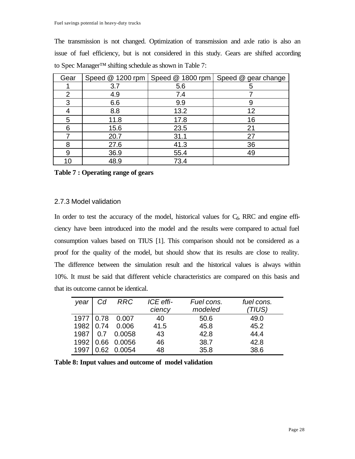The transmission is not changed. Optimization of transmission and axle ratio is also an issue of fuel efficiency, but is not considered in this study. Gears are shifted according to Spec Manager™ shifting schedule as shown in Table 7:

| Gear |      |      | Speed @ 1200 rpm   Speed @ 1800 rpm   Speed @ gear change |
|------|------|------|-----------------------------------------------------------|
|      | 3.7  | 5.6  | 5                                                         |
| 2    | 4.9  | 7.4  |                                                           |
| 3    | 6.6  | 9.9  |                                                           |
|      | 8.8  | 13.2 | 12                                                        |
| 5    | 11.8 | 17.8 | 16                                                        |
| 6    | 15.6 | 23.5 | 21                                                        |
|      | 20.7 | 31.1 | 27                                                        |
| 8    | 27.6 | 41.3 | 36                                                        |
| 9    | 36.9 | 55.4 | 49                                                        |
| 10   | 48.9 | 73.4 |                                                           |

**Table 7 : Operating range of gears**

#### 2.7.3 Model validation

In order to test the accuracy of the model, historical values for  $C<sub>d</sub>$ , RRC and engine efficiency have been introduced into the model and the results were compared to actual fuel consumption values based on TIUS [1]. This comparison should not be considered as a proof for the quality of the model, but should show that its results are close to reality. The difference between the simulation result and the historical values is always within 10%. It must be said that different vehicle characteristics are compared on this basis and that its outcome cannot be identical.

| year        | Cd         | <b>RRC</b>  | ICE effi- | Fuel cons. | fuel cons. |
|-------------|------------|-------------|-----------|------------|------------|
|             |            |             | ciency    | modeled    | (TIUS)     |
| 1977   0.78 |            | 0.007       | 40        | 50.6       | 49.0       |
| 1982 0.74   |            | 0.006       | 41.5      | 45.8       | 45.2       |
| 1987        | $\mid$ 0.7 | 0.0058      | 43        | 42.8       | 44.4       |
| 1992        |            | 0.66 0.0056 | 46        | 38.7       | 42.8       |
| 1997        |            | 0.62 0.0054 | 48        | 35.8       | 38.6       |

**Table 8: Input values and outcome of model validation**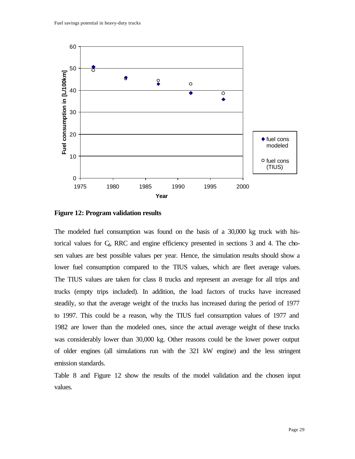

**Figure 12: Program validation results**

The modeled fuel consumption was found on the basis of a 30,000 kg truck with historical values for  $C_d$ , RRC and engine efficiency presented in sections 3 and 4. The chosen values are best possible values per year. Hence, the simulation results should show a lower fuel consumption compared to the TIUS values, which are fleet average values. The TIUS values are taken for class 8 trucks and represent an average for all trips and trucks (empty trips included). In addition, the load factors of trucks have increased steadily, so that the average weight of the trucks has increased during the period of 1977 to 1997. This could be a reason, why the TIUS fuel consumption values of 1977 and 1982 are lower than the modeled ones, since the actual average weight of these trucks was considerably lower than 30,000 kg. Other reasons could be the lower power output of older engines (all simulations run with the 321 kW engine) and the less stringent emission standards.

Table 8 and Figure 12 show the results of the model validation and the chosen input values.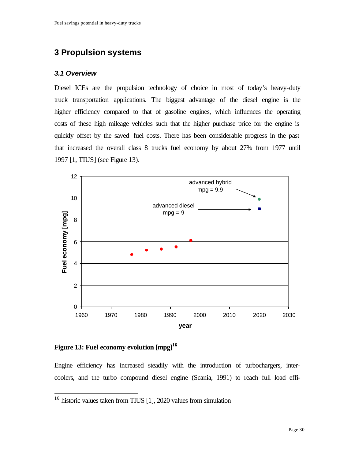# **3 Propulsion systems**

#### *3.1 Overview*

Diesel ICEs are the propulsion technology of choice in most of today's heavy-duty truck transportation applications. The biggest advantage of the diesel engine is the higher efficiency compared to that of gasoline engines, which influences the operating costs of these high mileage vehicles such that the higher purchase price for the engine is quickly offset by the saved fuel costs. There has been considerable progress in the past that increased the overall class 8 trucks fuel economy by about 27% from 1977 until 1997 [1, TIUS] (see Figure 13).



**Figure 13: Fuel economy evolution [mpg]<sup>16</sup>**

 $\overline{a}$ 

Engine efficiency has increased steadily with the introduction of turbochargers, intercoolers, and the turbo compound diesel engine (Scania, 1991) to reach full load effi-

 $16$  historic values taken from TIUS [1], 2020 values from simulation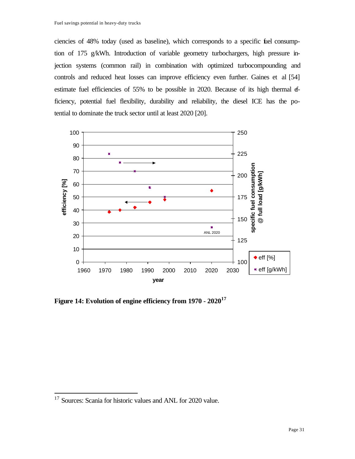ciencies of 48% today (used as baseline), which corresponds to a specific fuel consumption of 175 g/kWh. Introduction of variable geometry turbochargers, high pressure injection systems (common rail) in combination with optimized turbocompounding and controls and reduced heat losses can improve efficiency even further. Gaines et al [54] estimate fuel efficiencies of 55% to be possible in 2020. Because of its high thermal efficiency, potential fuel flexibility, durability and reliability, the diesel ICE has the potential to dominate the truck sector until at least 2020 [20].



**Figure 14: Evolution of engine efficiency from 1970 - 2020<sup>17</sup>**

 $17$  Sources: Scania for historic values and ANL for 2020 value.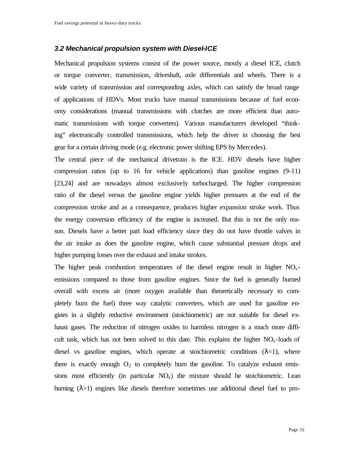#### *3.2 Mechanical propulsion system with Diesel-ICE*

Mechanical propulsion systems consist of the power source, mostly a diesel ICE, clutch or torque converter, transmission, driveshaft, axle differentials and wheels. There is a wide variety of transmission and corresponding axles, which can satisfy the broad range of applications of HDVs. Most trucks have manual transmissions because of fuel economy considerations (manual transmissions with clutches are more efficient than automatic transmissions with torque converters). Various manufacturers developed "thinking" electronically controlled transmissions, which help the driver in choosing the best gear for a certain driving mode (e.g. electronic power shifting EPS by Mercedes).

The central piece of the mechanical drivetrain is the ICE. HDV diesels have higher compression ratios (up to 16 for vehicle applications) than gasoline engines (9-11) [23,24] and are nowadays almost exclusively turbocharged. The higher compression ratio of the diesel versus the gasoline engine yields higher pressures at the end of the compression stroke and as a consequence, produces higher expansion stroke work. Thus the energy conversion efficiency of the engine is increased. But this is not the only reason. Diesels have a better part load efficiency since they do not have throttle valves in the air intake as does the gasoline engine, which cause substantial pressure drops and higher pumping losses over the exhaust and intake strokes.

The higher peak combustion temperatures of the diesel engine result in higher  $NO<sub>x</sub>$ emissions compared to those from gasoline engines. Since the fuel is generally burned overall with excess air (more oxygen available than theoretically necessary to completely burn the fuel) three way catalytic converters, which are used for gasoline engines in a slightly reductive environment (stoichiometric) are not suitable for diesel exhaust gases. The reduction of nitrogen oxides to harmless nitrogen is a much more difficult task, which has not been solved to this date. This explains the higher  $NO<sub>x</sub>$ -loads of diesel vs gasoline engines, which operate at stoichiometric conditions  $(\lambda=1)$ , where there is exactly enough  $O_2$  to completely burn the gasoline. To catalyze exhaust emissions most efficiently (in particular  $NO<sub>x</sub>$ ) the mixture should be stoichiometric. Lean burning  $(\lambda > 1)$  engines like diesels therefore sometimes use additional diesel fuel to pro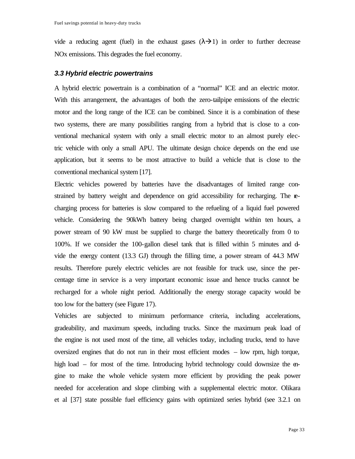vide a reducing agent (fuel) in the exhaust gases  $(\lambda \rightarrow 1)$  in order to further decrease NOx emissions. This degrades the fuel economy.

#### *3.3 Hybrid electric powertrains*

A hybrid electric powertrain is a combination of a "normal" ICE and an electric motor. With this arrangement, the advantages of both the zero-tailpipe emissions of the electric motor and the long range of the ICE can be combined. Since it is a combination of these two systems, there are many possibilities ranging from a hybrid that is close to a conventional mechanical system with only a small electric motor to an almost purely electric vehicle with only a small APU. The ultimate design choice depends on the end use application, but it seems to be most attractive to build a vehicle that is close to the conventional mechanical system [17].

Electric vehicles powered by batteries have the disadvantages of limited range constrained by battery weight and dependence on grid accessibility for recharging. The recharging process for batteries is slow compared to the refueling of a liquid fuel powered vehicle. Considering the 90kWh battery being charged overnight within ten hours, a power stream of 90 kW must be supplied to charge the battery theoretically from 0 to 100%. If we consider the 100-gallon diesel tank that is filled within 5 minutes and divide the energy content (13.3 GJ) through the filling time, a power stream of 44.3 MW results. Therefore purely electric vehicles are not feasible for truck use, since the percentage time in service is a very important economic issue and hence trucks cannot be recharged for a whole night period. Additionally the energy storage capacity would be too low for the battery (see Figure 17).

Vehicles are subjected to minimum performance criteria, including accelerations, gradeability, and maximum speeds, including trucks. Since the maximum peak load of the engine is not used most of the time, all vehicles today, including trucks, tend to have oversized engines that do not run in their most efficient modes – low rpm, high torque, high load – for most of the time. Introducing hybrid technology could downsize the engine to make the whole vehicle system more efficient by providing the peak power needed for acceleration and slope climbing with a supplemental electric motor. Olikara et al [37] state possible fuel efficiency gains with optimized series hybrid (see 3.2.1 on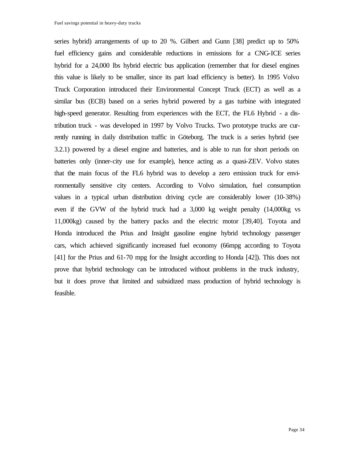series hybrid) arrangements of up to 20 %. Gilbert and Gunn [38] predict up to 50% fuel efficiency gains and considerable reductions in emissions for a CNG-ICE series hybrid for a 24,000 lbs hybrid electric bus application (remember that for diesel engines this value is likely to be smaller, since its part load efficiency is better). In 1995 Volvo Truck Corporation introduced their Environmental Concept Truck (ECT) as well as a similar bus (ECB) based on a series hybrid powered by a gas turbine with integrated high-speed generator. Resulting from experiences with the ECT, the FL6 Hybrid - a distribution truck - was developed in 1997 by Volvo Trucks. Two prototype trucks are currently running in daily distribution traffic in Göteborg. The truck is a series hybrid (see 3.2.1) powered by a diesel engine and batteries, and is able to run for short periods on batteries only (inner-city use for example), hence acting as a quasi-ZEV. Volvo states that the main focus of the FL6 hybrid was to develop a zero emission truck for environmentally sensitive city centers. According to Volvo simulation, fuel consumption values in a typical urban distribution driving cycle are considerably lower (10-38%) even if the GVW of the hybrid truck had a 3,000 kg weight penalty (14,000kg vs 11,000kg) caused by the battery packs and the electric motor [39,40]. Toyota and Honda introduced the Prius and Insight gasoline engine hybrid technology passenger cars, which achieved significantly increased fuel economy (66mpg according to Toyota [41] for the Prius and 61-70 mpg for the Insight according to Honda [42]). This does not prove that hybrid technology can be introduced without problems in the truck industry, but it does prove that limited and subsidized mass production of hybrid technology is feasible.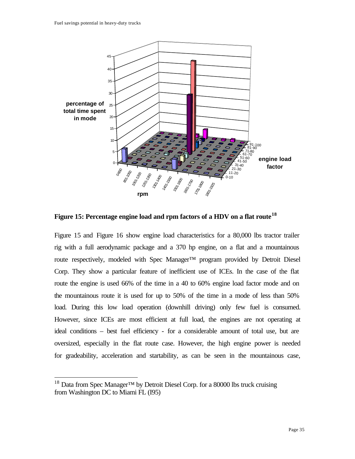

**Figure 15: Percentage engine load and rpm factors of a HDV on a flat route<sup>18</sup>**

Figure 15 and Figure 16 show engine load characteristics for a 80,000 lbs tractor trailer rig with a full aerodynamic package and a 370 hp engine, on a flat and a mountainous route respectively, modeled with Spec Manager™ program provided by Detroit Diesel Corp. They show a particular feature of inefficient use of ICEs. In the case of the flat route the engine is used 66% of the time in a 40 to 60% engine load factor mode and on the mountainous route it is used for up to 50% of the time in a mode of less than 50% load. During this low load operation (downhill driving) only few fuel is consumed. However, since ICEs are most efficient at full load, the engines are not operating at ideal conditions – best fuel efficiency - for a considerable amount of total use, but are oversized, especially in the flat route case. However, the high engine power is needed for gradeability, acceleration and startability, as can be seen in the mountainous case,

<sup>&</sup>lt;sup>18</sup> Data from Spec Manager<sup>™</sup> by Detroit Diesel Corp. for a 80000 lbs truck cruising from Washington DC to Miami FL (I95)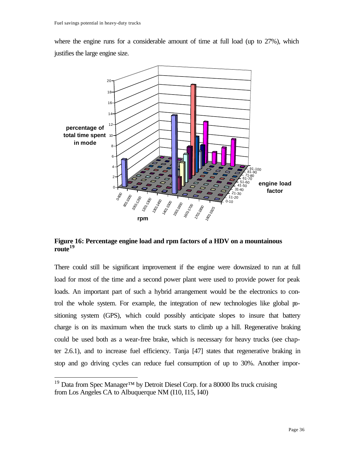where the engine runs for a considerable amount of time at full load (up to 27%), which justifies the large engine size.



**Figure 16: Percentage engine load and rpm factors of a HDV on a mountainous route<sup>19</sup>**

There could still be significant improvement if the engine were downsized to run at full load for most of the time and a second power plant were used to provide power for peak loads. An important part of such a hybrid arrangement would be the electronics to control the whole system. For example, the integration of new technologies like global positioning system (GPS), which could possibly anticipate slopes to insure that battery charge is on its maximum when the truck starts to climb up a hill. Regenerative braking could be used both as a wear-free brake, which is necessary for heavy trucks (see chapter 2.6.1), and to increase fuel efficiency. Tanja [47] states that regenerative braking in stop and go driving cycles can reduce fuel consumption of up to 30%. Another impor-

<sup>&</sup>lt;sup>19</sup> Data from Spec Manager<sup>™</sup> by Detroit Diesel Corp. for a 80000 lbs truck cruising from Los Angeles CA to Albuquerque NM (I10, I15, I40)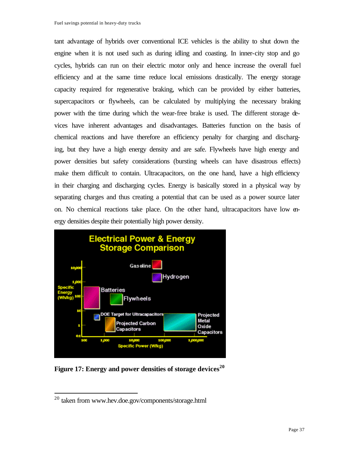tant advantage of hybrids over conventional ICE vehicles is the ability to shut down the engine when it is not used such as during idling and coasting. In inner-city stop and go cycles, hybrids can run on their electric motor only and hence increase the overall fuel efficiency and at the same time reduce local emissions drastically. The energy storage capacity required for regenerative braking, which can be provided by either batteries, supercapacitors or flywheels, can be calculated by multiplying the necessary braking power with the time during which the wear-free brake is used. The different storage devices have inherent advantages and disadvantages. Batteries function on the basis of chemical reactions and have therefore an efficiency penalty for charging and discharging, but they have a high energy density and are safe. Flywheels have high energy and power densities but safety considerations (bursting wheels can have disastrous effects) make them difficult to contain. Ultracapacitors, on the one hand, have a high efficiency in their charging and discharging cycles. Energy is basically stored in a physical way by separating charges and thus creating a potential that can be used as a power source later on. No chemical reactions take place. On the other hand, ultracapacitors have low energy densities despite their potentially high power density.



**Figure 17: Energy and power densities of storage devices<sup>20</sup>**

<sup>20</sup> taken from www.hev.doe.gov/components/storage.html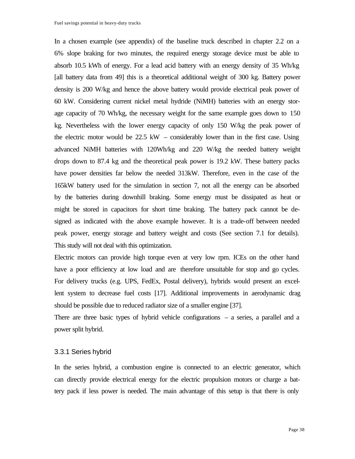In a chosen example (see appendix) of the baseline truck described in chapter 2.2 on a 6% slope braking for two minutes, the required energy storage device must be able to absorb 10.5 kWh of energy. For a lead acid battery with an energy density of 35 Wh/kg [all battery data from 49] this is a theoretical additional weight of 300 kg. Battery power density is 200 W/kg and hence the above battery would provide electrical peak power of 60 kW. Considering current nickel metal hydride (NiMH) batteries with an energy storage capacity of 70 Wh/kg, the necessary weight for the same example goes down to 150 kg. Nevertheless with the lower energy capacity of only 150 W/kg the peak power of the electric motor would be 22.5 kW – considerably lower than in the first case. Using advanced NiMH batteries with 120Wh/kg and 220 W/kg the needed battery weight drops down to 87.4 kg and the theoretical peak power is 19.2 kW. These battery packs have power densities far below the needed 313kW. Therefore, even in the case of the 165kW battery used for the simulation in section 7, not all the energy can be absorbed by the batteries during downhill braking. Some energy must be dissipated as heat or might be stored in capacitors for short time braking. The battery pack cannot be designed as indicated with the above example however. It is a trade-off between needed peak power, energy storage and battery weight and costs (See section 7.1 for details). This study will not deal with this optimization.

Electric motors can provide high torque even at very low rpm. ICEs on the other hand have a poor efficiency at low load and are therefore unsuitable for stop and go cycles. For delivery trucks (e.g. UPS, FedEx, Postal delivery), hybrids would present an excellent system to decrease fuel costs [17]. Additional improvements in aerodynamic drag should be possible due to reduced radiator size of a smaller engine [37].

There are three basic types of hybrid vehicle configurations – a series, a parallel and a power split hybrid.

#### 3.3.1 Series hybrid

In the series hybrid, a combustion engine is connected to an electric generator, which can directly provide electrical energy for the electric propulsion motors or charge a battery pack if less power is needed. The main advantage of this setup is that there is only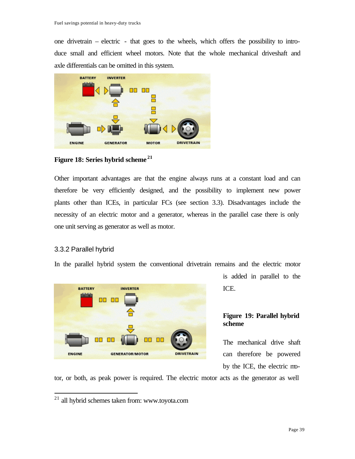one drivetrain – electric - that goes to the wheels, which offers the possibility to introduce small and efficient wheel motors. Note that the whole mechanical driveshaft and axle differentials can be omitted in this system.



**Figure 18: Series hybrid scheme <sup>21</sup>**

Other important advantages are that the engine always runs at a constant load and can therefore be very efficiently designed, and the possibility to implement new power plants other than ICEs, in particular FCs (see section 3.3). Disadvantages include the necessity of an electric motor and a generator, whereas in the parallel case there is only one unit serving as generator as well as motor.

# 3.3.2 Parallel hybrid

 $\overline{a}$ 

In the parallel hybrid system the conventional drivetrain remains and the electric motor



is added in parallel to the ICE.

# **Figure 19: Parallel hybrid scheme**

The mechanical drive shaft can therefore be powered by the ICE, the electric mo-

tor, or both, as peak power is required. The electric motor acts as the generator as well

 $21$  all hybrid schemes taken from: www.toyota.com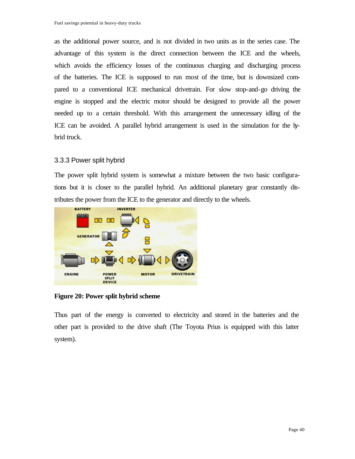as the additional power source, and is not divided in two units as in the series case. The advantage of this system is the direct connection between the ICE and the wheels, which avoids the efficiency losses of the continuous charging and discharging process of the batteries. The ICE is supposed to run most of the time, but is downsized compared to a conventional ICE mechanical drivetrain. For slow stop-and-go driving the engine is stopped and the electric motor should be designed to provide all the power needed up to a certain threshold. With this arrangement the unnecessary idling of the ICE can be avoided. A parallel hybrid arrangement is used in the simulation for the hybrid truck.

## 3.3.3 Power split hybrid

The power split hybrid system is somewhat a mixture between the two basic configurations but it is closer to the parallel hybrid. An additional planetary gear constantly distributes the power from the ICE to the generator and directly to the wheels.



**Figure 20: Power split hybrid scheme**

Thus part of the energy is converted to electricity and stored in the batteries and the other part is provided to the drive shaft (The Toyota Prius is equipped with this latter system).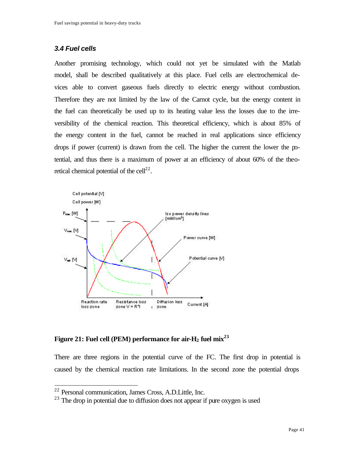## *3.4 Fuel cells*

Another promising technology, which could not yet be simulated with the Matlab model, shall be described qualitatively at this place. Fuel cells are electrochemical devices able to convert gaseous fuels directly to electric energy without combustion. Therefore they are not limited by the law of the Carnot cycle, but the energy content in the fuel can theoretically be used up to its heating value less the losses due to the irreversibility of the chemical reaction. This theoretical efficiency, which is about 85% of the energy content in the fuel, cannot be reached in real applications since efficiency drops if power (current) is drawn from the cell. The higher the current the lower the potential, and thus there is a maximum of power at an efficiency of about 60% of the theoretical chemical potential of the cell $^{22}$ .



**Figure 21: Fuel cell (PEM) performance for air-H2 fuel mix<sup>23</sup>**

There are three regions in the potential curve of the FC. The first drop in potential is caused by the chemical reaction rate limitations. In the second zone the potential drops

<sup>&</sup>lt;sup>22</sup> Personal communication, James Cross, A.D.Little, Inc.

 $23$  The drop in potential due to diffusion does not appear if pure oxygen is used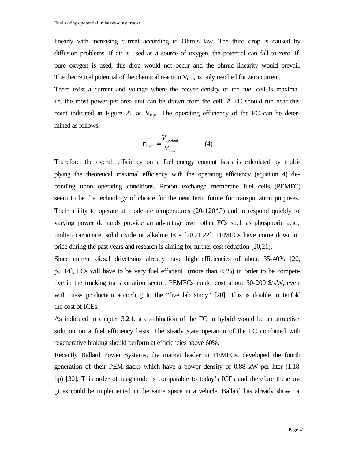linearly with increasing current according to Ohm's law. The third drop is caused by diffusion problems. If air is used as a source of oxygen, the potential can fall to zero. If pure oxygen is used, this drop would not occur and the ohmic linearity would prevail. The theoretical potential of the chemical reaction  $V_{\text{max}}$  is only reached for zero current.

There exist a current and voltage where the power density of the fuel cell is maximal, i.e. the most power per area unit can be drawn from the cell. A FC should run near this point indicated in Figure 21 as  $V_{opt}$ . The operating efficiency of the FC can be determined as follows:

$$
\mathbf{h}_{cell} = \frac{V_{applied}}{V_{\text{max}}} \tag{4}
$$

Therefore, the overall efficiency on a fuel energy content basis is calculated by multiplying the theoretical maximal efficiency with the operating efficiency (equation 4) depending upon operating conditions. Proton exchange membrane fuel cells (PEMFC) seem to be the technology of choice for the near term future for transportation purposes. Their ability to operate at moderate temperatures  $(20-120^{\circ}C)$  and to respond quickly to varying power demands provide an advantage over other FCs such as phosphoric acid, molten carbonate, solid oxide or alkaline FCs [20,21,22]. PEMFCs have come down in price during the past years and research is aiming for further cost reduction [20,21].

Since current diesel drivetrains already have high efficiencies of about 35-40% [20, p.5.14], FCs will have to be very fuel efficient (more than 45%) in order to be competitive in the trucking transportation sector. PEMFCs could cost about 50-200 \$/kW, even with mass production according to the "five lab study" [20]. This is double to tenfold the cost of ICEs.

As indicated in chapter 3.2.1, a combination of the FC in hybrid would be an attractive solution on a fuel efficiency basis. The steady state operation of the FC combined with regenerative braking should perform at efficiencies above 60%.

Recently Ballard Power Systems, the market leader in PEMFCs, developed the fourth generation of their PEM stacks which have a power density of 0.88 kW per liter (1.18 hp) [30]. This order of magnitude is comparable to today's ICEs and therefore these engines could be implemented in the same space in a vehicle. Ballard has already shown a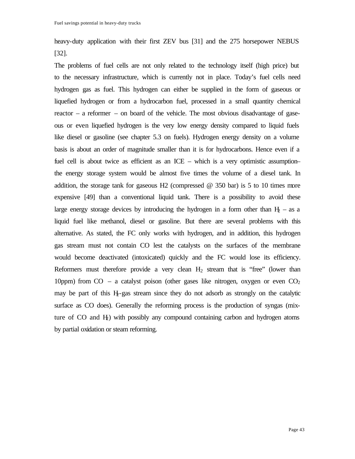heavy-duty application with their first ZEV bus [31] and the 275 horsepower NEBUS [32].

The problems of fuel cells are not only related to the technology itself (high price) but to the necessary infrastructure, which is currently not in place. Today's fuel cells need hydrogen gas as fuel. This hydrogen can either be supplied in the form of gaseous or liquefied hydrogen or from a hydrocarbon fuel, processed in a small quantity chemical reactor – a reformer – on board of the vehicle. The most obvious disadvantage of gaseous or even liquefied hydrogen is the very low energy density compared to liquid fuels like diesel or gasoline (see chapter 5.3 on fuels). Hydrogen energy density on a volume basis is about an order of magnitude smaller than it is for hydrocarbons. Hence even if a fuel cell is about twice as efficient as an ICE – which is a very optimistic assumption– the energy storage system would be almost five times the volume of a diesel tank. In addition, the storage tank for gaseous H2 (compressed  $\omega$  350 bar) is 5 to 10 times more expensive [49] than a conventional liquid tank. There is a possibility to avoid these large energy storage devices by introducing the hydrogen in a form other than  $H_2$  – as a liquid fuel like methanol, diesel or gasoline. But there are several problems with this alternative. As stated, the FC only works with hydrogen, and in addition, this hydrogen gas stream must not contain CO lest the catalysts on the surfaces of the membrane would become deactivated (intoxicated) quickly and the FC would lose its efficiency. Reformers must therefore provide a very clean  $H_2$  stream that is "free" (lower than 10ppm) from CO – a catalyst poison (other gases like nitrogen, oxygen or even  $CO<sub>2</sub>$ may be part of this  $H_2$ -gas stream since they do not adsorb as strongly on the catalytic surface as CO does). Generally the reforming process is the production of syngas (mixture of  $CO$  and  $H_2$ ) with possibly any compound containing carbon and hydrogen atoms by partial oxidation or steam reforming.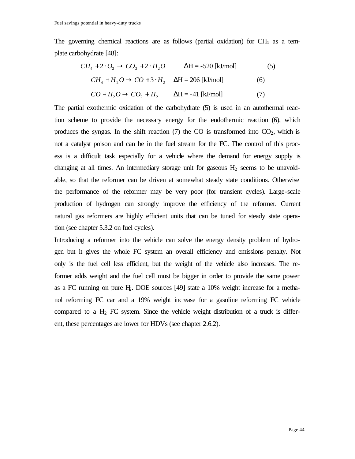The governing chemical reactions are as follows (partial oxidation) for CH4 as a template carbohydrate [48]:

$$
CH_4 + 2 \cdot O_2 \rightarrow CO_2 + 2 \cdot H_2O
$$
  $\Delta H = -520$  [kJ/mol] (5)  
\n $CH_4 + H_2O \rightarrow CO + 3 \cdot H_2$   $\Delta H = 206$  [kJ/mol] (6)  
\n $CO + H_2O \rightarrow CO_2 + H_2$   $\Delta H = -41$  [kJ/mol] (7)

The partial exothermic oxidation of the carbohydrate (5) is used in an autothermal reaction scheme to provide the necessary energy for the endothermic reaction (6), which produces the syngas. In the shift reaction  $(7)$  the CO is transformed into  $CO<sub>2</sub>$ , which is not a catalyst poison and can be in the fuel stream for the FC. The control of this process is a difficult task especially for a vehicle where the demand for energy supply is changing at all times. An intermediary storage unit for gaseous  $H_2$  seems to be unavoidable, so that the reformer can be driven at somewhat steady state conditions. Otherwise the performance of the reformer may be very poor (for transient cycles). Large-scale production of hydrogen can strongly improve the efficiency of the reformer. Current natural gas reformers are highly efficient units that can be tuned for steady state operation (see chapter 5.3.2 on fuel cycles).

Introducing a reformer into the vehicle can solve the energy density problem of hydrogen but it gives the whole FC system an overall efficiency and emissions penalty. Not only is the fuel cell less efficient, but the weight of the vehicle also increases. The reformer adds weight and the fuel cell must be bigger in order to provide the same power as a FC running on pure  $H_2$ . DOE sources [49] state a 10% weight increase for a methanol reforming FC car and a 19% weight increase for a gasoline reforming FC vehicle compared to a  $H_2$  FC system. Since the vehicle weight distribution of a truck is different, these percentages are lower for HDVs (see chapter 2.6.2).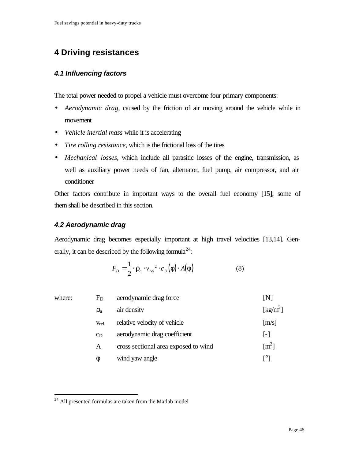# **4 Driving resistances**

## *4.1 Influencing factors*

The total power needed to propel a vehicle must overcome four primary components:

- *Aerodynamic drag*, caused by the friction of air moving around the vehicle while in movement
- *Vehicle inertial mass* while it is accelerating
- *Tire rolling resistance*, which is the frictional loss of the tires
- *Mechanical losses*, which include all parasitic losses of the engine, transmission, as well as auxiliary power needs of fan, alternator, fuel pump, air compressor, and air conditioner

Other factors contribute in important ways to the overall fuel economy [15]; some of them shall be described in this section.

# *4.2 Aerodynamic drag*

Aerodynamic drag becomes especially important at high travel velocities [13,14]. Generally, it can be described by the following formula<sup>24</sup>:

$$
F_D = \frac{1}{2} \cdot \mathbf{r}_a \cdot v_{rel}^2 \cdot c_D(\mathbf{f}) \cdot A(\mathbf{f}) \tag{8}
$$

| where: | $F_D$     | aerodynamic drag force               | [N]                          |
|--------|-----------|--------------------------------------|------------------------------|
|        | $\rho_a$  | air density                          | $\left[\text{kg/m}^3\right]$ |
|        | $V_{rel}$ | relative velocity of vehicle         | [m/s]                        |
|        | $c_D$     | aerodynamic drag coefficient         | $\lceil - \rceil$            |
|        | A         | cross sectional area exposed to wind | $\lceil m^2 \rceil$          |
|        | ⋔         | wind yaw angle                       | г°1                          |

<sup>&</sup>lt;sup>24</sup> All presented formulas are taken from the Matlab model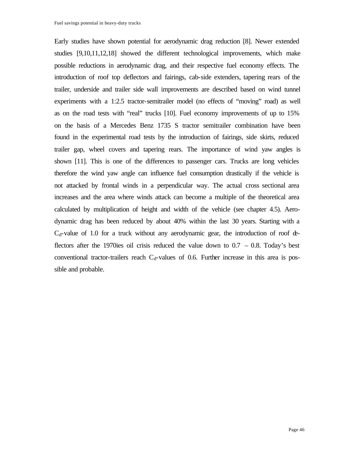Early studies have shown potential for aerodynamic drag reduction [8]. Newer extended studies [9,10,11,12,18] showed the different technological improvements, which make possible reductions in aerodynamic drag, and their respective fuel economy effects. The introduction of roof top deflectors and fairings, cab-side extenders, tapering rears of the trailer, underside and trailer side wall improvements are described based on wind tunnel experiments with a 1:2.5 tractor-semitrailer model (no effects of "moving" road) as well as on the road tests with "real" trucks [10]. Fuel economy improvements of up to 15% on the basis of a Mercedes Benz 1735 S tractor semitrailer combination have been found in the experimental road tests by the introduction of fairings, side skirts, reduced trailer gap, wheel covers and tapering rears. The importance of wind yaw angles is shown [11]. This is one of the differences to passenger cars. Trucks are long vehicles therefore the wind yaw angle can influence fuel consumption drastically if the vehicle is not attacked by frontal winds in a perpendicular way. The actual cross sectional area increases and the area where winds attack can become a multiple of the theoretical area calculated by multiplication of height and width of the vehicle (see chapter 4.5). Aerodynamic drag has been reduced by about 40% within the last 30 years. Starting with a  $C_d$ -value of 1.0 for a truck without any aerodynamic gear, the introduction of roof  $d$ flectors after the 1970ies oil crisis reduced the value down to  $0.7 - 0.8$ . Today's best conventional tractor-trailers reach  $C_d$ -values of 0.6. Further increase in this area is possible and probable.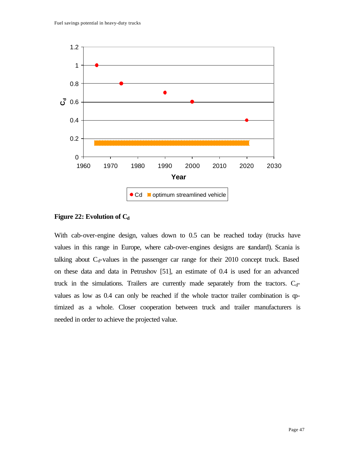

**Figure 22: Evolution of C<sup>d</sup>**

With cab-over-engine design, values down to 0.5 can be reached today (trucks have values in this range in Europe, where cab-over-engines designs are standard). Scania is talking about  $C_d$ -values in the passenger car range for their 2010 concept truck. Based on these data and data in Petrushov [51], an estimate of 0.4 is used for an advanced truck in the simulations. Trailers are currently made separately from the tractors.  $C_d$ values as low as 0.4 can only be reached if the whole tractor trailer combination is optimized as a whole. Closer cooperation between truck and trailer manufacturers is needed in order to achieve the projected value.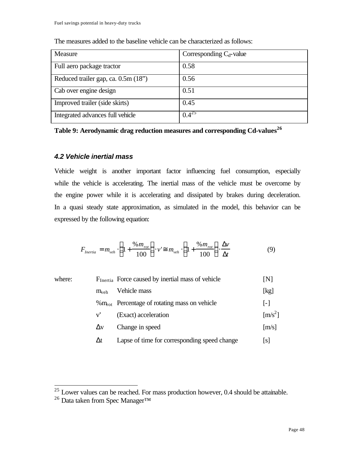| Measure                             | Corresponding $C_d$ -value |
|-------------------------------------|----------------------------|
| Full aero package tractor           | 0.58                       |
| Reduced trailer gap, ca. 0.5m (18") | 0.56                       |
| Cab over engine design              | 0.51                       |
| Improved trailer (side skirts)      | 0.45                       |
| Integrated advances full vehicle    | $0.4^{25}$                 |

The measures added to the baseline vehicle can be characterized as follows:

**Table 9: Aerodynamic drag reduction measures and corresponding Cd-values<sup>26</sup>**

# *4.2 Vehicle inertial mass*

Vehicle weight is another important factor influencing fuel consumption, especially while the vehicle is accelerating. The inertial mass of the vehicle must be overcome by the engine power while it is accelerating and dissipated by brakes during deceleration. In a quasi steady state approximation, as simulated in the model, this behavior can be expressed by the following equation:

$$
F_{Inertia} = m_{veh} \cdot \left(1 + \frac{\%m_{rot}}{100}\right) \cdot v' \cong m_{veh} \cdot \left(1 + \frac{\%m_{rot}}{100}\right) \cdot \frac{\Delta v}{\Delta t}
$$
(9)

| where: |              | F <sub>Inertia</sub> Force caused by inertial mass of vehicle | [N]                         |
|--------|--------------|---------------------------------------------------------------|-----------------------------|
|        | $m_{veh}$    | Vehicle mass                                                  | [kg]                        |
|        |              | $\%$ m <sub>rot</sub> Percentage of rotating mass on vehicle  | $\mathsf{L}$                |
|        | $V^{\prime}$ | (Exact) acceleration                                          | $\left[\text{m/s}^2\right]$ |
|        | $\Delta v$   | Change in speed                                               | [m/s]                       |
|        | Δt           | Lapse of time for corresponding speed change                  | [s]                         |
|        |              |                                                               |                             |

 $25$  Lower values can be reached. For mass production however, 0.4 should be attainable.

<sup>&</sup>lt;sup>26</sup> Data taken from Spec Manager<sup>™</sup>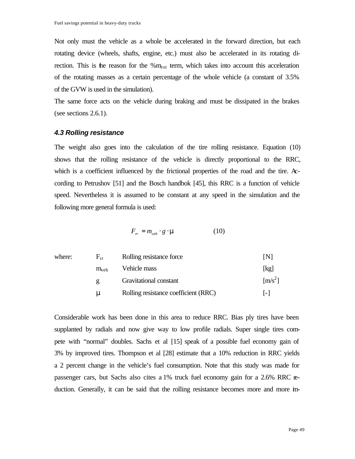Not only must the vehicle as a whole be accelerated in the forward direction, but each rotating device (wheels, shafts, engine, etc.) must also be accelerated in its rotating direction. This is the reason for the  $\%m_{\rm rot}$  term, which takes into account this acceleration of the rotating masses as a certain percentage of the whole vehicle (a constant of 3.5% of the GVW is used in the simulation).

The same force acts on the vehicle during braking and must be dissipated in the brakes (see sections 2.6.1).

#### *4.3 Rolling resistance*

The weight also goes into the calculation of the tire rolling resistance. Equation (10) shows that the rolling resistance of the vehicle is directly proportional to the RRC, which is a coefficient influenced by the frictional properties of the road and the tire. According to Petrushov [51] and the Bosch handbok [45], this RRC is a function of vehicle speed. Nevertheless it is assumed to be constant at any speed in the simulation and the following more general formula is used:

$$
F_{rr} = m_{veh} \cdot g \cdot \mathbf{m} \tag{10}
$$

| INI       |
|-----------|
| [kg]      |
| $[m/s^2]$ |
| $ - $     |
|           |

Considerable work has been done in this area to reduce RRC. Bias ply tires have been supplanted by radials and now give way to low profile radials. Super single tires compete with "normal" doubles. Sachs et al [15] speak of a possible fuel economy gain of 3% by improved tires. Thompson et al [28] estimate that a 10% reduction in RRC yields a 2 percent change in the vehicle's fuel consumption. Note that this study was made for passenger cars, but Sachs also cites a 1% truck fuel economy gain for a 2.6% RRC reduction. Generally, it can be said that the rolling resistance becomes more and more im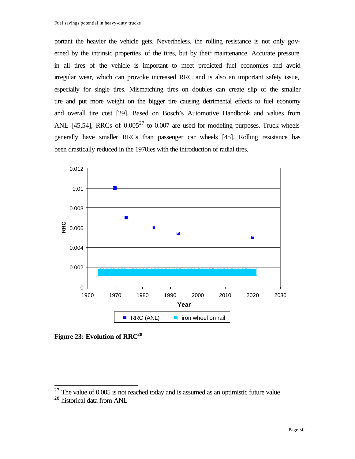portant the heavier the vehicle gets. Nevertheless, the rolling resistance is not only governed by the intrinsic properties of the tires, but by their maintenance. Accurate pressure in all tires of the vehicle is important to meet predicted fuel economies and avoid irregular wear, which can provoke increased RRC and is also an important safety issue, especially for single tires. Mismatching tires on doubles can create slip of the smaller tire and put more weight on the bigger tire causing detrimental effects to fuel economy and overall tire cost [29]. Based on Bosch's Automotive Handbook and values from ANL [45,54], RRCs of  $0.005^{27}$  to  $0.007$  are used for modeling purposes. Truck wheels generally have smaller RRCs than passenger car wheels [45]. Rolling resistance has been drastically reduced in the 1970ies with the introduction of radial tires.



**Figure 23: Evolution of RRC<sup>28</sup>**

 $27$  The value of 0.005 is not reached today and is assumed as an optimistic future value <sup>28</sup> historical data from ANL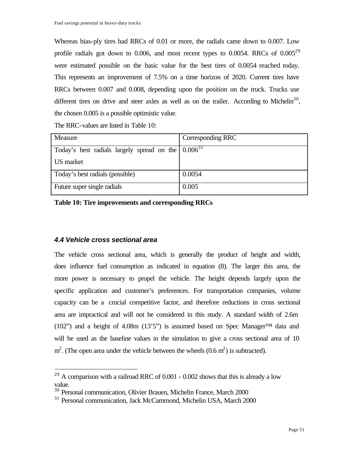Whereas bias-ply tires had RRCs of 0.01 or more, the radials came down to 0.007. Low profile radials got down to 0.006, and most recent types to 0.0054. RRCs of  $0.005^{29}$ were estimated possible on the basic value for the best tires of 0.0054 reached today. This represents an improvement of 7.5% on a time horizon of 2020. Current tires have RRCs between 0.007 and 0.008, depending upon the position on the truck. Trucks use different tires on drive and steer axles as well as on the trailer. According to Michelin<sup>30</sup>, the chosen 0.005 is a possible optimistic value.

| Measure                                                   | Corresponding RRC |
|-----------------------------------------------------------|-------------------|
|                                                           |                   |
| Today's best radials largely spread on the $ 0.006^{31} $ |                   |
|                                                           |                   |
| US market                                                 |                   |
|                                                           |                   |
| Today's best radials (possible)                           | 0.0054            |
|                                                           |                   |
| Future super single radials                               | 0.005             |
|                                                           |                   |

The RRC-values are listed in Table 10:

**Table 10: Tire improvements and corresponding RRCs**

#### *4.4 Vehicle cross sectional area*

 $\overline{a}$ 

The vehicle cross sectional area, which is generally the product of height and width, does influence fuel consumption as indicated in equation (8). The larger this area, the more power is necessary to propel the vehicle. The height depends largely upon the specific application and customer's preferences. For transportation companies, volume capacity can be a crucial competitive factor, and therefore reductions in cross sectional area are impractical and will not be considered in this study. A standard width of 2.6m (102") and a height of 4.08m (13'5") is assumed based on Spec Manager<sup>™</sup> data and will be used as the baseline values in the simulation to give a cross sectional area of 10  $m^2$ . (The open area under the vehicle between the wheels  $(0.6 m^2)$  is subtracted).

 $^{29}$  A comparison with a railroad RRC of 0.001 - 0.002 shows that this is already a low value.

<sup>30</sup> Personal communication, Olivier Brauen, Michelin France, March 2000

<sup>&</sup>lt;sup>31</sup> Personal communication, Jack McCammond, Michelin USA, March 2000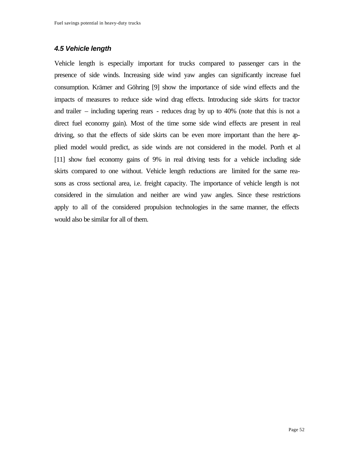## *4.5 Vehicle length*

Vehicle length is especially important for trucks compared to passenger cars in the presence of side winds. Increasing side wind yaw angles can significantly increase fuel consumption. Krämer and Göhring [9] show the importance of side wind effects and the impacts of measures to reduce side wind drag effects. Introducing side skirts for tractor and trailer – including tapering rears - reduces drag by up to 40% (note that this is not a direct fuel economy gain). Most of the time some side wind effects are present in real driving, so that the effects of side skirts can be even more important than the here applied model would predict, as side winds are not considered in the model. Porth et al [11] show fuel economy gains of 9% in real driving tests for a vehicle including side skirts compared to one without. Vehicle length reductions are limited for the same reasons as cross sectional area, i.e. freight capacity. The importance of vehicle length is not considered in the simulation and neither are wind yaw angles. Since these restrictions apply to all of the considered propulsion technologies in the same manner, the effects would also be similar for all of them.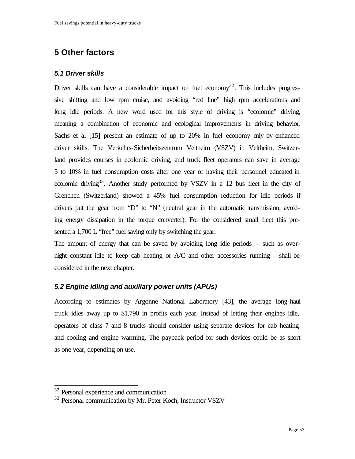# **5 Other factors**

# *5.1 Driver skills*

Driver skills can have a considerable impact on fuel economy<sup>32</sup>. This includes progressive shifting and low rpm cruise, and avoiding "red line" high rpm accelerations and long idle periods. A new word used for this style of driving is "ecolomic" driving, meaning a combination of economic and ecological improvements in driving behavior. Sachs et al [15] present an estimate of up to 20% in fuel economy only by enhanced driver skills. The Verkehrs-Sicherheitszentrum Veltheim (VSZV) in Veltheim, Switzerland provides courses in ecolomic driving, and truck fleet operators can save in average 5 to 10% in fuel consumption costs after one year of having their personnel educated in ecolomic driving<sup>33</sup>. Another study performed by VSZV in a 12 bus fleet in the city of Grenchen (Switzerland) showed a 45% fuel consumption reduction for idle periods if drivers put the gear from "D" to "N" (neutral gear in the automatic transmission, avoiding energy dissipation in the torque converter). For the considered small fleet this presented a 1,700 L "free" fuel saving only by switching the gear.

The amount of energy that can be saved by avoiding long idle periods – such as overnight constant idle to keep cab heating or A/C and other accessories running – shall be considered in the next chapter.

# *5.2 Engine idling and auxiliary power units (APUs)*

According to estimates by Argonne National Laboratory [43], the average long-haul truck idles away up to \$1,790 in profits each year. Instead of letting their engines idle, operators of class 7 and 8 trucks should consider using separate devices for cab heating and cooling and engine warming. The payback period for such devices could be as short as one year, depending on use.

<sup>&</sup>lt;sup>32</sup> Personal experience and communication

<sup>&</sup>lt;sup>33</sup> Personal communication by Mr. Peter Koch, Instructor VSZV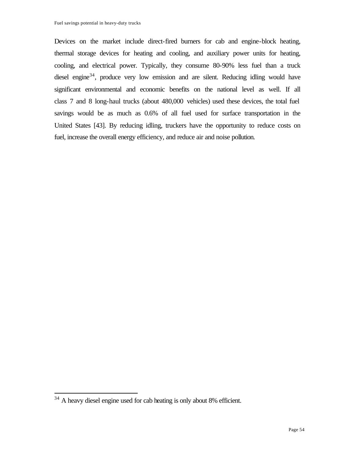Devices on the market include direct-fired burners for cab and engine-block heating, thermal storage devices for heating and cooling, and auxiliary power units for heating, cooling, and electrical power. Typically, they consume 80-90% less fuel than a truck diesel engine<sup>34</sup>, produce very low emission and are silent. Reducing idling would have significant environmental and economic benefits on the national level as well. If all class 7 and 8 long-haul trucks (about 480,000 vehicles) used these devices, the total fuel savings would be as much as 0.6% of all fuel used for surface transportation in the United States [43]. By reducing idling, truckers have the opportunity to reduce costs on fuel, increase the overall energy efficiency, and reduce air and noise pollution.

 $34$  A heavy diesel engine used for cab heating is only about 8% efficient.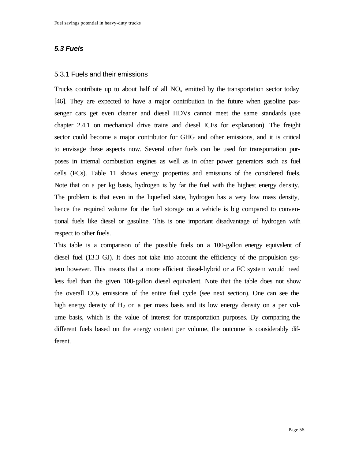## *5.3 Fuels*

#### 5.3.1 Fuels and their emissions

Trucks contribute up to about half of all  $NO<sub>x</sub>$  emitted by the transportation sector today [46]. They are expected to have a major contribution in the future when gasoline passenger cars get even cleaner and diesel HDVs cannot meet the same standards (see chapter 2.4.1 on mechanical drive trains and diesel ICEs for explanation). The freight sector could become a major contributor for GHG and other emissions, and it is critical to envisage these aspects now. Several other fuels can be used for transportation purposes in internal combustion engines as well as in other power generators such as fuel cells (FCs). Table 11 shows energy properties and emissions of the considered fuels. Note that on a per kg basis, hydrogen is by far the fuel with the highest energy density. The problem is that even in the liquefied state, hydrogen has a very low mass density, hence the required volume for the fuel storage on a vehicle is big compared to conventional fuels like diesel or gasoline. This is one important disadvantage of hydrogen with respect to other fuels.

This table is a comparison of the possible fuels on a 100-gallon energy equivalent of diesel fuel (13.3 GJ). It does not take into account the efficiency of the propulsion system however. This means that a more efficient diesel-hybrid or a FC system would need less fuel than the given 100-gallon diesel equivalent. Note that the table does not show the overall  $CO<sub>2</sub>$  emissions of the entire fuel cycle (see next section). One can see the high energy density of  $H_2$  on a per mass basis and its low energy density on a per volume basis, which is the value of interest for transportation purposes. By comparing the different fuels based on the energy content per volume, the outcome is considerably different.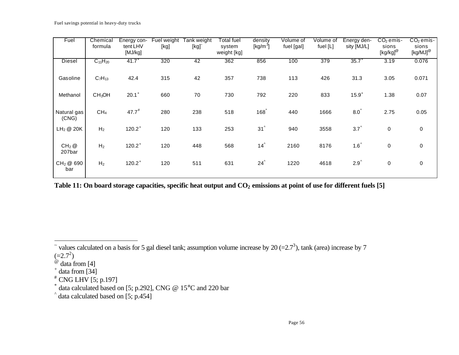| Fuel                         | Chemical<br>formula | Energy con-<br>tent LHV<br>[MJ/kg] | Fuel weight<br>[kg] | Tank weight<br>[kg] | Total fuel<br>system<br>weight [kg] | density<br>$[kg/m^3]$ | Volume of<br>fuel [gal] | Volume of<br>fuel [L] | Energy den-<br>sity [MJ/L] | $CO2$ emis-<br>sions<br>$[kg/kg]^@$ | $CO2$ emis-<br>sions<br>[kg/MJ] <sup>@</sup> |
|------------------------------|---------------------|------------------------------------|---------------------|---------------------|-------------------------------------|-----------------------|-------------------------|-----------------------|----------------------------|-------------------------------------|----------------------------------------------|
| Diesel                       | $C_{11}H_{20}$      | $41.7^{+}$                         | 320                 | 42                  | 362                                 | 856                   | 100                     | 379                   | $35.7^{+}$                 | 3.19                                | 0.076                                        |
| Gasoline                     | $C_7H_{13}$         | 42.4                               | 315                 | 42                  | 357                                 | 738                   | 113                     | 426                   | 31.3                       | 3.05                                | 0.071                                        |
| Methanol                     | CH <sub>3</sub> OH  | $20.1^+$                           | 660                 | 70                  | 730                                 | 792                   | 220                     | 833                   | $15.9^{+}$                 | 1.38                                | 0.07                                         |
| Natural gas<br>(CNG)         | CH <sub>4</sub>     | $47.7^*$                           | 280                 | 238                 | 518                                 | 168                   | 440                     | 1666                  | 8.0 <sup>°</sup>           | 2.75                                | 0.05                                         |
| LH <sub>2</sub> @ 20K        | H <sub>2</sub>      | $120.2^+$                          | 120                 | 133                 | 253                                 | $31^{\circ}$          | 940                     | 3558                  | $3.7^{\circ}$              | $\pmb{0}$                           | $\mathbf 0$                                  |
| $CH2$ @<br>207bar            | H <sub>2</sub>      | $120.2^+$                          | 120                 | 448                 | 568                                 | $14^{\circ}$          | 2160                    | 8176                  | $1.6^{\wedge}$             | 0                                   | $\mathbf 0$                                  |
| CH <sub>2</sub> @ 690<br>bar | H <sub>2</sub>      | $120.2^+$                          | 120                 | 511                 | 631                                 | $24^{\circ}$          | 1220                    | 4618                  | $2.9^{\circ}$              | 0                                   | $\mathbf 0$                                  |

**Table 11: On board storage capacities, specific heat output and CO2 emissions at point of use for different fuels [5]**

 $\tilde{ }$  values calculated on a basis for 5 gal diesel tank; assumption volume increase by 20 (=2.7<sup>3</sup>), tank (area) increase by 7  $(=2.7^2)$ 

 $^{\omega}$  data from [4]

 $^+$  data from [34]

<sup>#</sup> CNG LHV [5; p.197]

<sup>\*</sup> data calculated based on [5; p.292], CNG @ 15°C and 220 bar

<sup>^</sup> data calculated based on [5; p.454]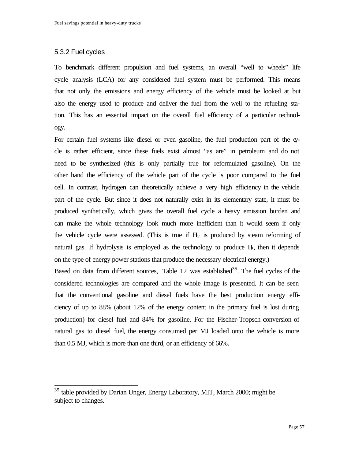## 5.3.2 Fuel cycles

 $\overline{a}$ 

To benchmark different propulsion and fuel systems, an overall "well to wheels" life cycle analysis (LCA) for any considered fuel system must be performed. This means that not only the emissions and energy efficiency of the vehicle must be looked at but also the energy used to produce and deliver the fuel from the well to the refueling station. This has an essential impact on the overall fuel efficiency of a particular technology.

For certain fuel systems like diesel or even gasoline, the fuel production part of the cycle is rather efficient, since these fuels exist almost "as are" in petroleum and do not need to be synthesized (this is only partially true for reformulated gasoline). On the other hand the efficiency of the vehicle part of the cycle is poor compared to the fuel cell. In contrast, hydrogen can theoretically achieve a very high efficiency in the vehicle part of the cycle. But since it does not naturally exist in its elementary state, it must be produced synthetically, which gives the overall fuel cycle a heavy emission burden and can make the whole technology look much more inefficient than it would seem if only the vehicle cycle were assessed. (This is true if  $H_2$  is produced by steam reforming of natural gas. If hydrolysis is employed as the technology to produce  $H_2$ , then it depends on the type of energy power stations that produce the necessary electrical energy.)

Based on data from different sources, Table  $12$  was established<sup>35</sup>. The fuel cycles of the considered technologies are compared and the whole image is presented. It can be seen that the conventional gasoline and diesel fuels have the best production energy efficiency of up to 88% (about 12% of the energy content in the primary fuel is lost during production) for diesel fuel and 84% for gasoline. For the Fischer-Tropsch conversion of natural gas to diesel fuel, the energy consumed per MJ loaded onto the vehicle is more than 0.5 MJ, which is more than one third, or an efficiency of 66%.

<sup>&</sup>lt;sup>35</sup> table provided by Darian Unger, Energy Laboratory, MIT, March 2000; might be subject to changes.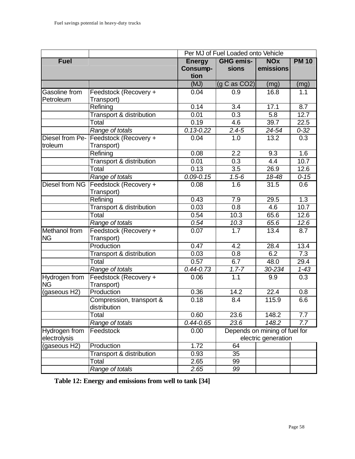|                      |                                                    | Per MJ of Fuel Loaded onto Vehicle |                  |            |                  |  |
|----------------------|----------------------------------------------------|------------------------------------|------------------|------------|------------------|--|
| <b>Fuel</b>          |                                                    | <b>Energy</b>                      | <b>GHG emis-</b> | <b>NOx</b> | <b>PM 10</b>     |  |
|                      |                                                    | <b>Consump-</b>                    | sions            | emissions  |                  |  |
|                      |                                                    | tion                               |                  |            |                  |  |
|                      |                                                    | (MJ)                               | (g C as CO2)     | (mg)       | (mg)             |  |
| Gasoline from        | Feedstock (Recovery +                              | 0.04                               | 0.9              | 16.8       | 1.1              |  |
| Petroleum            | Transport)                                         |                                    |                  |            |                  |  |
|                      | Refining                                           | 0.14                               | 3.4              | 17.1       | 8.7              |  |
|                      | Transport & distribution                           | 0.01                               | 0.3              | 5.8        | 12.7             |  |
|                      | Total                                              | 0.19                               | 4.6              | 39.7       | 22.5             |  |
|                      | Range of totals                                    | $0.13 - 0.22$                      | $2.4 - 5$        | 24-54      | $0 - 32$         |  |
| Diesel from Pe-      | Feedstock (Recovery +                              | 0.04                               | 1.0              | 13.2       | $\overline{0.3}$ |  |
| troleum              | Transport)                                         |                                    |                  |            |                  |  |
|                      | Refining                                           | 0.08                               | 2.2              | 9.3        | 1.6              |  |
|                      | Transport & distribution                           | 0.01                               | 0.3              | 4.4        | 10.7             |  |
|                      | Total                                              | 0.13                               | $\overline{3.5}$ | 26.9       | 12.6             |  |
|                      | Range of totals                                    | $0.09 - 0.15$                      | $1.5 - 6$        | 18-48      | $0 - 15$         |  |
| Diesel from NG       | Feedstock (Recovery +                              | 0.08                               | 1.6              | 31.5       | 0.6              |  |
|                      | Transport)                                         |                                    |                  |            |                  |  |
|                      | Refining                                           | 0.43                               | 7.9              | 29.5       | 1.3              |  |
|                      | <b>Transport &amp; distribution</b>                | 0.03                               | $\overline{0.8}$ | 4.6        | 10.7             |  |
|                      | Total                                              | 0.54                               | 10.3             | 65.6       | 12.6             |  |
|                      | Range of totals                                    | 0.54                               | 10.3             | 65.6       | 12.6             |  |
| <b>Methanol</b> from | Feedstock (Recovery +                              | 0.07                               | 1.7              | 13.4       | 8.7              |  |
| <b>NG</b>            | Transport)                                         |                                    |                  |            |                  |  |
|                      | Production                                         | 0.47                               | 4.2              | 28.4       | 13.4             |  |
|                      | <b>Transport &amp; distribution</b>                | 0.03                               | $\overline{0.8}$ | 6.2        | 7.3              |  |
|                      | Total                                              | 0.57                               | 6.7              | 48.0       | 29.4             |  |
|                      | Range of totals                                    | $0.44 - 0.73$                      | $1.7 - 7$        | 30-234     | $1 - 43$         |  |
| Hydrogen from        | Feedstock (Recovery +                              | 0.06                               | $\overline{1.1}$ | 9.9        | $\overline{0.3}$ |  |
| <b>NG</b>            | Transport)                                         |                                    |                  |            |                  |  |
| (gaseous H2)         | Production                                         | 0.36                               | 14.2             | 22.4       | 0.8              |  |
|                      | Compression, transport &                           | 0.18                               | 8.4              | 115.9      | 6.6              |  |
|                      | distribution                                       |                                    |                  |            |                  |  |
|                      | Total                                              | 0.60                               | 23.6             | 148.2      | 7.7              |  |
|                      | Range of totals                                    | $0.44 - 0.65$                      | 23.6             | 148.2      | 7.7              |  |
| Hydrogen from        | Feedstock<br>Depends on mining of fuel for<br>0.00 |                                    |                  |            |                  |  |
| electrolysis         |                                                    | electric generation                |                  |            |                  |  |
| (gaseous H2)         | Production                                         | 1.72                               | 64               |            |                  |  |
|                      | Transport & distribution                           | 0.93                               | 35               |            |                  |  |
|                      | Total                                              | 2.65                               | 99               |            |                  |  |
|                      | Range of totals                                    | 2.65                               | 99               |            |                  |  |

**Table 12: Energy and emissions from well to tank [34]**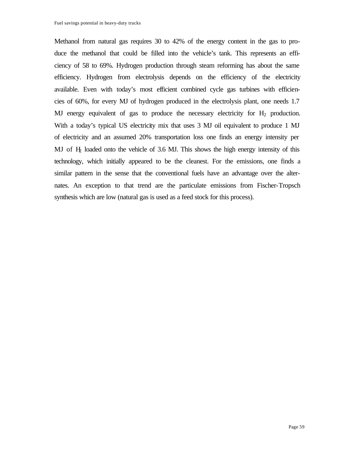Methanol from natural gas requires 30 to 42% of the energy content in the gas to produce the methanol that could be filled into the vehicle's tank. This represents an efficiency of 58 to 69%. Hydrogen production through steam reforming has about the same efficiency. Hydrogen from electrolysis depends on the efficiency of the electricity available. Even with today's most efficient combined cycle gas turbines with efficiencies of 60%, for every MJ of hydrogen produced in the electrolysis plant, one needs 1.7 MJ energy equivalent of gas to produce the necessary electricity for  $H_2$  production. With a today's typical US electricity mix that uses 3 MJ oil equivalent to produce 1 MJ of electricity and an assumed 20% transportation loss one finds an energy intensity per MJ of H2 loaded onto the vehicle of 3.6 MJ. This shows the high energy intensity of this technology, which initially appeared to be the cleanest. For the emissions, one finds a similar pattern in the sense that the conventional fuels have an advantage over the alternates. An exception to that trend are the particulate emissions from Fischer-Tropsch synthesis which are low (natural gas is used as a feed stock for this process).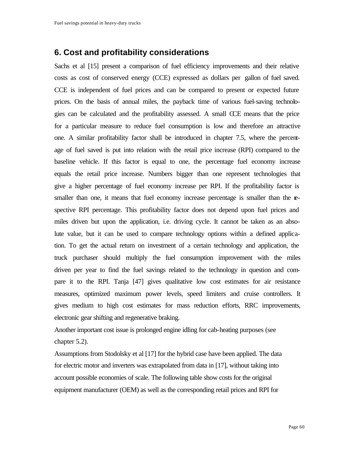# **6. Cost and profitability considerations**

Sachs et al [15] present a comparison of fuel efficiency improvements and their relative costs as cost of conserved energy (CCE) expressed as dollars per gallon of fuel saved. CCE is independent of fuel prices and can be compared to present or expected future prices. On the basis of annual miles, the payback time of various fuel-saving technologies can be calculated and the profitability assessed. A small CCE means that the price for a particular measure to reduce fuel consumption is low and therefore an attractive one. A similar profitability factor shall be introduced in chapter 7.5, where the percentage of fuel saved is put into relation with the retail price increase (RPI) compared to the baseline vehicle. If this factor is equal to one, the percentage fuel economy increase equals the retail price increase. Numbers bigger than one represent technologies that give a higher percentage of fuel economy increase per RPI. If the profitability factor is smaller than one, it means that fuel economy increase percentage is smaller than the respective RPI percentage. This profitability factor does not depend upon fuel prices and miles driven but upon the application, i.e. driving cycle. It cannot be taken as an absolute value, but it can be used to compare technology options within a defined application. To get the actual return on investment of a certain technology and application, the truck purchaser should multiply the fuel consumption improvement with the miles driven per year to find the fuel savings related to the technology in question and compare it to the RPI. Tanja [47] gives qualitative low cost estimates for air resistance measures, optimized maximum power levels, speed limiters and cruise controllers. It gives medium to high cost estimates for mass reduction efforts, RRC improvements, electronic gear shifting and regenerative braking.

Another important cost issue is prolonged engine idling for cab-heating purposes (see chapter 5.2).

Assumptions from Stodolsky et al [17] for the hybrid case have been applied. The data for electric motor and inverters was extrapolated from data in [17], without taking into account possible economies of scale. The following table show costs for the original equipment manufacturer (OEM) as well as the corresponding retail prices and RPI for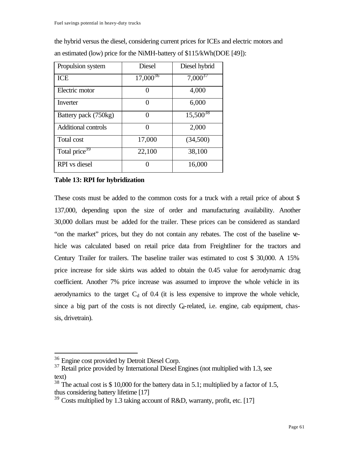| Propulsion system          | <b>Diesel</b> | Diesel hybrid |
|----------------------------|---------------|---------------|
| <b>ICE</b>                 | $17,000^{36}$ | $7,000^{37}$  |
| Electric motor             |               | 4,000         |
| Inverter                   |               | 6,000         |
| Battery pack (750kg)       | ∩             | $15,500^{38}$ |
| <b>Additional controls</b> | ∩             | 2,000         |
| Total cost                 | 17,000        | (34,500)      |
| Total price <sup>39</sup>  | 22,100        | 38,100        |
| <b>RPI</b> vs diesel       |               | 16,000        |

the hybrid versus the diesel, considering current prices for ICEs and electric motors and an estimated (low) price for the NiMH-battery of \$115/kWh(DOE [49]):

### **Table 13: RPI for hybridization**

These costs must be added to the common costs for a truck with a retail price of about \$ 137,000, depending upon the size of order and manufacturing availability. Another 30,000 dollars must be added for the trailer. These prices can be considered as standard "on the market" prices, but they do not contain any rebates. The cost of the baseline vehicle was calculated based on retail price data from Freightliner for the tractors and Century Trailer for trailers. The baseline trailer was estimated to cost \$ 30,000. A 15% price increase for side skirts was added to obtain the 0.45 value for aerodynamic drag coefficient. Another 7% price increase was assumed to improve the whole vehicle in its aerodynamics to the target  $C_d$  of 0.4 (it is less expensive to improve the whole vehicle, since a big part of the costs is not directly  $C_d$ -related, i.e. engine, cab equipment, chassis, drivetrain).

<sup>36</sup> Engine cost provided by Detroit Diesel Corp.

<sup>&</sup>lt;sup>37</sup> Retail price provided by International Diesel Engines (not multiplied with 1.3, see text)

 $38$  The actual cost is \$ 10,000 for the battery data in 5.1; multiplied by a factor of 1.5, thus considering battery lifetime [17]

 $39$  Costs multiplied by 1.3 taking account of R&D, warranty, profit, etc. [17]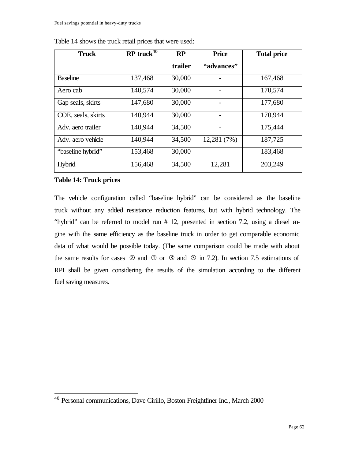| <b>Truck</b>       | $RP$ truck <sup>40</sup> | RP      | <b>Price</b> | <b>Total price</b> |
|--------------------|--------------------------|---------|--------------|--------------------|
|                    |                          | trailer | "advances"   |                    |
| <b>Baseline</b>    | 137,468                  | 30,000  |              | 167,468            |
| Aero cab           | 140,574                  | 30,000  |              | 170,574            |
| Gap seals, skirts  | 147,680                  | 30,000  |              | 177,680            |
| COE, seals, skirts | 140,944                  | 30,000  |              | 170,944            |
| Adv. aero trailer  | 140,944                  | 34,500  |              | 175,444            |
| Adv. aero vehicle  | 140,944                  | 34,500  | 12,281 (7%)  | 187,725            |
| "baseline hybrid"  | 153,468                  | 30,000  |              | 183,468            |
| Hybrid             | 156,468                  | 34,500  | 12,281       | 203,249            |

Table 14 shows the truck retail prices that were used:

#### **Table 14: Truck prices**

 $\overline{a}$ 

The vehicle configuration called "baseline hybrid" can be considered as the baseline truck without any added resistance reduction features, but with hybrid technology. The "hybrid" can be referred to model run # 12, presented in section 7.2, using a diesel engine with the same efficiency as the baseline truck in order to get comparable economic data of what would be possible today. (The same comparison could be made with about the same results for cases  $\oslash$  and  $\oslash$  or  $\oslash$  and  $\oslash$  in 7.2). In section 7.5 estimations of RPI shall be given considering the results of the simulation according to the different fuel saving measures.

<sup>40</sup> Personal communications, Dave Cirillo, Boston Freightliner Inc., March 2000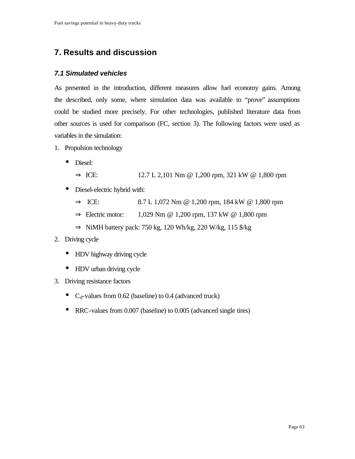# **7. Results and discussion**

# *7.1 Simulated vehicles*

As presented in the introduction, different measures allow fuel economy gains. Among the described, only some, where simulation data was available to "prove" assumptions could be studied more precisely. For other technologies, published literature data from other sources is used for comparison (FC, section 3). The following factors were used as variables in the simulation:

- 1. Propulsion technology
	- Diesel:
		- $\Rightarrow$  ICE: 12.7 L 2,101 Nm @ 1,200 rpm, 321 kW @ 1,800 rpm
	- Diesel-electric hybrid with:
		- $\Rightarrow$  ICE: 8.7 L 1,072 Nm @ 1,200 rpm, 184 kW @ 1,800 rpm
		- $\Rightarrow$  Electric motor: 1,029 Nm @ 1,200 rpm, 137 kW @ 1,800 rpm
		- $\Rightarrow$  NiMH battery pack: 750 kg, 120 Wh/kg, 220 W/kg, 115 \$/kg

# 2. Driving cycle

- HDV highway driving cycle
- HDV urban driving cycle
- 3. Driving resistance factors
	- $C_d$ -values from 0.62 (baseline) to 0.4 (advanced truck)
	- RRC-values from 0.007 (baseline) to 0.005 (advanced single tires)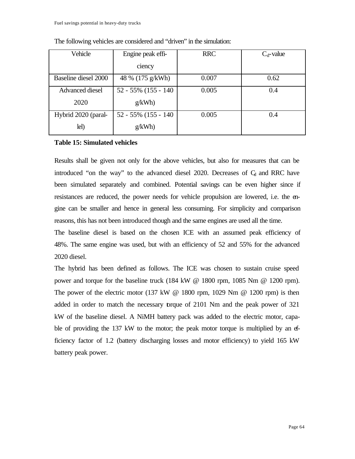| Vehicle                | Engine peak effi-       | <b>RRC</b> | $C_d$ -value |
|------------------------|-------------------------|------------|--------------|
|                        | ciency                  |            |              |
| Baseline diesel 2000   | 48 % (175 g/kWh)        | 0.007      | 0.62         |
| <b>Advanced diesel</b> | $52 - 55\%$ (155 - 140) | 0.005      | 0.4          |
| 2020                   | g/kWh                   |            |              |
| Hybrid 2020 (paral-    | 52 - 55% (155 - 140)    | 0.005      | 0.4          |
| lel)                   | g/kWh                   |            |              |

The following vehicles are considered and "driven" in the simulation:

#### **Table 15: Simulated vehicles**

Results shall be given not only for the above vehicles, but also for measures that can be introduced "on the way" to the advanced diesel  $2020$ . Decreases of  $C_d$  and RRC have been simulated separately and combined. Potential savings can be even higher since if resistances are reduced, the power needs for vehicle propulsion are lowered, i.e. the engine can be smaller and hence in general less consuming. For simplicity and comparison reasons, this has not been introduced though and the same engines are used all the time.

The baseline diesel is based on the chosen ICE with an assumed peak efficiency of 48%. The same engine was used, but with an efficiency of 52 and 55% for the advanced 2020 diesel.

The hybrid has been defined as follows. The ICE was chosen to sustain cruise speed power and torque for the baseline truck (184 kW @ 1800 rpm, 1085 Nm @ 1200 rpm). The power of the electric motor  $(137 \text{ kW} \ @ \ 1800 \text{ rpm}, 1029 \text{ Nm} \ @ \ 1200 \text{ rpm})$  is then added in order to match the necessary torque of 2101 Nm and the peak power of 321 kW of the baseline diesel. A NiMH battery pack was added to the electric motor, capable of providing the 137 kW to the motor; the peak motor torque is multiplied by an efficiency factor of 1.2 (battery discharging losses and motor efficiency) to yield 165 kW battery peak power.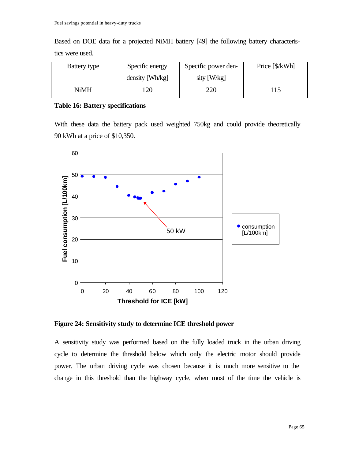Based on DOE data for a projected NiMH battery [49] the following battery characteristics were used.

| Battery type | Specific energy | Specific power den- | Price [\$/kWh] |
|--------------|-----------------|---------------------|----------------|
|              | density [Wh/kg] | sity [W/kg]         |                |
| NiMH         | 20              | 220                 | 15             |

#### **Table 16: Battery specifications**

With these data the battery pack used weighted 750kg and could provide theoretically 90 kWh at a price of \$10,350.



**Figure 24: Sensitivity study to determine ICE threshold power**

A sensitivity study was performed based on the fully loaded truck in the urban driving cycle to determine the threshold below which only the electric motor should provide power. The urban driving cycle was chosen because it is much more sensitive to the change in this threshold than the highway cycle, when most of the time the vehicle is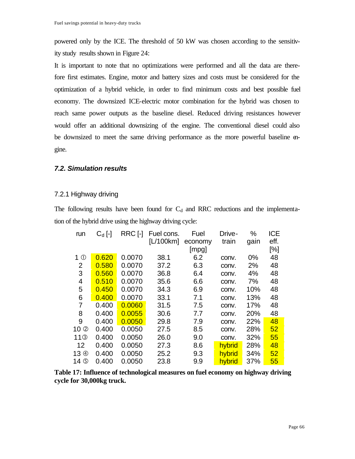powered only by the ICE. The threshold of 50 kW was chosen according to the sensitivity study results shown in Figure 24:

It is important to note that no optimizations were performed and all the data are therefore first estimates. Engine, motor and battery sizes and costs must be considered for the optimization of a hybrid vehicle, in order to find minimum costs and best possible fuel economy. The downsized ICE-electric motor combination for the hybrid was chosen to reach same power outputs as the baseline diesel. Reduced driving resistances however would offer an additional downsizing of the engine. The conventional diesel could also be downsized to meet the same driving performance as the more powerful baseline engine.

## *7.2. Simulation results*

### 7.2.1 Highway driving

The following results have been found for  $C_d$  and RRC reductions and the implementation of the hybrid drive using the highway driving cycle:

| run                        | $C_d$ [-] | RRC [-] | Fuel cons. | Fuel    | Drive- | %    | <b>ICE</b> |
|----------------------------|-----------|---------|------------|---------|--------|------|------------|
|                            |           |         | [L/100km]  | economy | train  | gain | eff.       |
|                            |           |         |            | [mpg]   |        |      | [%]        |
| 1 <sup>0</sup>             | 0.620     | 0.0070  | 38.1       | 6.2     | conv.  | 0%   | 48         |
| 2                          | 0.580     | 0.0070  | 37.2       | 6.3     | conv.  | 2%   | 48         |
| 3                          | 0.560     | 0.0070  | 36.8       | 6.4     | conv.  | 4%   | 48         |
| 4                          | 0.510     | 0.0070  | 35.6       | 6.6     | conv.  | 7%   | 48         |
| 5                          | 0.450     | 0.0070  | 34.3       | 6.9     | conv.  | 10%  | 48         |
| 6                          | 0.400     | 0.0070  | 33.1       | 7.1     | conv.  | 13%  | 48         |
| 7                          | 0.400     | 0.0060  | 31.5       | 7.5     | conv.  | 17%  | 48         |
| 8                          | 0.400     | 0.0055  | 30.6       | 7.7     | conv.  | 20%  | 48         |
| 9                          | 0.400     | 0.0050  | 29.8       | 7.9     | conv.  | 22%  | 48         |
| 10 <sup>(2)</sup>          | 0.400     | 0.0050  | 27.5       | 8.5     | conv.  | 28%  | 52         |
| 11 <sup>③</sup>            | 0.400     | 0.0050  | 26.0       | 9.0     | conv.  | 32%  | 55         |
| 12                         | 0.400     | 0.0050  | 27.3       | 8.6     | hybrid | 28%  | 48         |
| 13 <sup><sup>4</sup></sup> | 0.400     | 0.0050  | 25.2       | 9.3     | hybrid | 34%  | 52         |
| 14 <b>O</b>                | 0.400     | 0.0050  | 23.8       | 9.9     | hybrid | 37%  | 55         |

**Table 17: Influence of technological measures on fuel economy on highway driving cycle for 30,000kg truck.**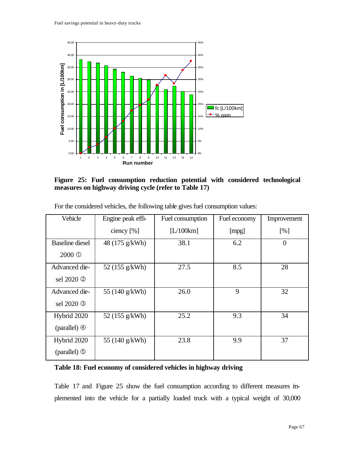

**Figure 25: Fuel consumption reduction potential with considered technological measures on highway driving cycle (refer to Table 17)**

| Vehicle                   | Engine peak effi- | Fuel consumption | Fuel economy | Improvement |
|---------------------------|-------------------|------------------|--------------|-------------|
|                           | ciency $[%]$      | [L/100km]        | [mpg]        | [%]         |
| <b>Baseline</b> diesel    | 48 (175 g/kWh)    | 38.1             | 6.2          | $\theta$    |
| 2000 <sup>O</sup>         |                   |                  |              |             |
| Advanced die-             | 52 (155 g/kWh)    | 27.5             | 8.5          | 28          |
| sel 2020 2                |                   |                  |              |             |
| Advanced die-             | 55 (140 g/kWh)    | 26.0             | 9            | 32          |
| sel 2020 <sup>3</sup>     |                   |                  |              |             |
| Hybrid 2020               | 52 (155 g/kWh)    | 25.2             | 9.3          | 34          |
| (parallel) $\circled{4}$  |                   |                  |              |             |
| Hybrid 2020               | 55 (140 g/kWh)    | 23.8             | 9.9          | 37          |
| (parallel) $\circledcirc$ |                   |                  |              |             |

For the considered vehicles, the following table gives fuel consumption values:

## **Table 18: Fuel economy of considered vehicles in highway driving**

Table 17 and Figure 25 show the fuel consumption according to different measures implemented into the vehicle for a partially loaded truck with a typical weight of 30,000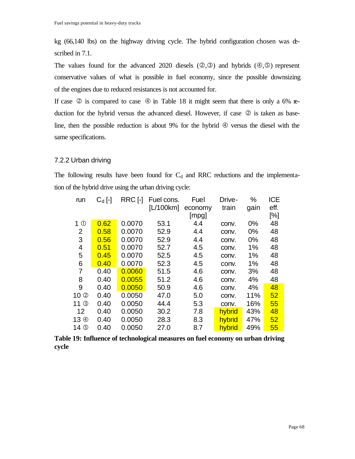kg (66,140 lbs) on the highway driving cycle. The hybrid configuration chosen was described in 7.1.

The values found for the advanced 2020 diesels  $(2,3)$  and hybrids  $(4,5)$  represent conservative values of what is possible in fuel economy, since the possible downsizing of the engines due to reduced resistances is not accounted for.

If case  $\circledcirc$  is compared to case  $\circledcirc$  in Table 18 it might seem that there is only a 6% reduction for the hybrid versus the advanced diesel. However, if case  $\oslash$  is taken as baseline, then the possible reduction is about 9% for the hybrid  $\Phi$  versus the diesel with the same specifications.

### 7.2.2 Urban driving

The following results have been found for  $C_d$  and RRC reductions and the implementation of the hybrid drive using the urban driving cycle:

| run                        | $C_d$ [-] | RRC [-] | Fuel cons. | Fuel    | Drive- | %     | <b>ICE</b> |
|----------------------------|-----------|---------|------------|---------|--------|-------|------------|
|                            |           |         | [L/100km]  | economy | train  | gain  | eff.       |
|                            |           |         |            | [mpg]   |        |       | [%]        |
| 1 <sup>0</sup>             | 0.62      | 0.0070  | 53.1       | 4.4     | conv.  | $0\%$ | 48         |
| 2                          | 0.58      | 0.0070  | 52.9       | 4.4     | conv.  | 0%    | 48         |
| 3                          | 0.56      | 0.0070  | 52.9       | 4.4     | conv.  | 0%    | 48         |
| 4                          | 0.51      | 0.0070  | 52.7       | 4.5     | conv.  | 1%    | 48         |
| 5                          | 0.45      | 0.0070  | 52.5       | 4.5     | conv.  | 1%    | 48         |
| 6                          | 0.40      | 0.0070  | 52.3       | 4.5     | conv.  | 1%    | 48         |
| 7                          | 0.40      | 0.0060  | 51.5       | 4.6     | conv.  | 3%    | 48         |
| 8                          | 0.40      | 0.0055  | 51.2       | 4.6     | conv.  | 4%    | 48         |
| 9                          | 0.40      | 0.0050  | 50.9       | 4.6     | conv.  | 4%    | 48         |
| 10Q                        | 0.40      | 0.0050  | 47.0       | 5.0     | conv.  | 11%   | 52         |
| $11$ $\circledcirc$        | 0.40      | 0.0050  | 44.4       | 5.3     | conv.  | 16%   | 55         |
| 12                         | 0.40      | 0.0050  | 30.2       | 7.8     | hybrid | 43%   | 48         |
| 13 <sup><sup>4</sup></sup> | 0.40      | 0.0050  | 28.3       | 8.3     | hybrid | 47%   | 52         |
| 14 <b>O</b>                | 0.40      | 0.0050  | 27.0       | 8.7     | hybrid | 49%   | 55         |

**Table 19: Influence of technological measures on fuel economy on urban driving cycle**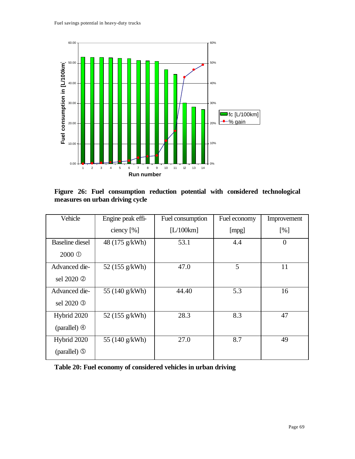

**Figure 26: Fuel consumption reduction potential with considered technological measures on urban driving cycle**

| Vehicle                   | Engine peak effi- | Fuel consumption | Fuel economy | Improvement    |
|---------------------------|-------------------|------------------|--------------|----------------|
|                           | ciency $[%]$      | [L/100km]        | [mpg]        | [%]            |
| <b>Baseline</b> diesel    | 48 (175 g/kWh)    | 53.1             | 4.4          | $\overline{0}$ |
| 2000 <sup>O</sup>         |                   |                  |              |                |
| Advanced die-             | 52 (155 g/kWh)    | 47.0             | 5            | 11             |
| sel 2020 2                |                   |                  |              |                |
| Advanced die-             | 55 (140 g/kWh)    | 44.40            | 5.3          | 16             |
| sel 2020 <sup>3</sup>     |                   |                  |              |                |
| Hybrid 2020               | 52 (155 g/kWh)    | 28.3             | 8.3          | 47             |
| (parallel) $\circledcirc$ |                   |                  |              |                |
| Hybrid 2020               | 55 (140 g/kWh)    | 27.0             | 8.7          | 49             |
| (parallel) $\circledcirc$ |                   |                  |              |                |

**Table 20: Fuel economy of considered vehicles in urban driving**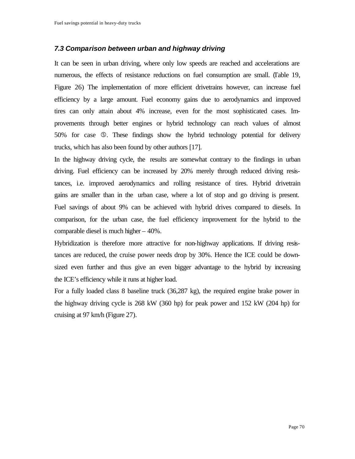### *7.3 Comparison between urban and highway driving*

It can be seen in urban driving, where only low speeds are reached and accelerations are numerous, the effects of resistance reductions on fuel consumption are small. (Table 19, Figure 26) The implementation of more efficient drivetrains however, can increase fuel efficiency by a large amount. Fuel economy gains due to aerodynamics and improved tires can only attain about 4% increase, even for the most sophisticated cases. Improvements through better engines or hybrid technology can reach values of almost 50% for case Ö. These findings show the hybrid technology potential for delivery trucks, which has also been found by other authors [17].

In the highway driving cycle, the results are somewhat contrary to the findings in urban driving. Fuel efficiency can be increased by 20% merely through reduced driving resistances, i.e. improved aerodynamics and rolling resistance of tires. Hybrid drivetrain gains are smaller than in the urban case, where a lot of stop and go driving is present. Fuel savings of about 9% can be achieved with hybrid drives compared to diesels. In comparison, for the urban case, the fuel efficiency improvement for the hybrid to the comparable diesel is much higher – 40%.

Hybridization is therefore more attractive for non-highway applications. If driving resistances are reduced, the cruise power needs drop by 30%. Hence the ICE could be downsized even further and thus give an even bigger advantage to the hybrid by increasing the ICE's efficiency while it runs at higher load.

For a fully loaded class 8 baseline truck (36,287 kg), the required engine brake power in the highway driving cycle is 268 kW (360 hp) for peak power and 152 kW (204 hp) for cruising at 97 km/h (Figure 27).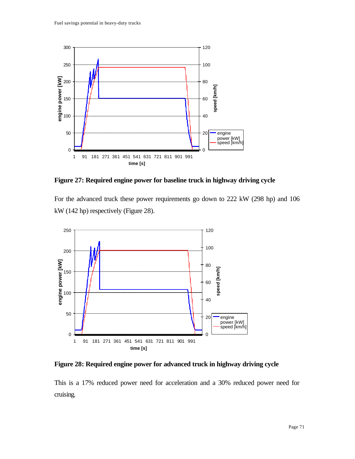

**Figure 27: Required engine power for baseline truck in highway driving cycle**

For the advanced truck these power requirements go down to 222 kW (298 hp) and 106 kW (142 hp) respectively (Figure 28).



**Figure 28: Required engine power for advanced truck in highway driving cycle**

This is a 17% reduced power need for acceleration and a 30% reduced power need for cruising.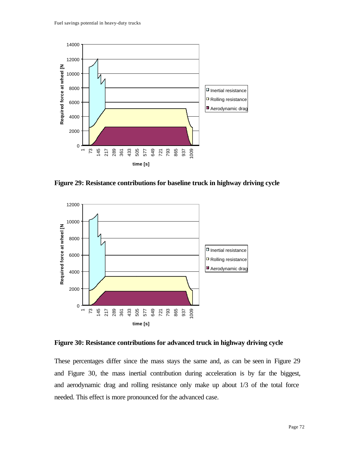

**Figure 29: Resistance contributions for baseline truck in highway driving cycle**



**Figure 30: Resistance contributions for advanced truck in highway driving cycle**

These percentages differ since the mass stays the same and, as can be seen in Figure 29 and Figure 30, the mass inertial contribution during acceleration is by far the biggest, and aerodynamic drag and rolling resistance only make up about 1/3 of the total force needed. This effect is more pronounced for the advanced case.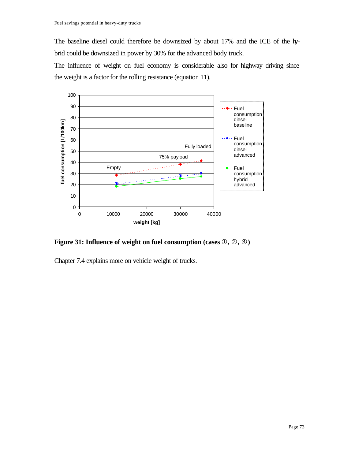The baseline diesel could therefore be downsized by about 17% and the ICE of the hybrid could be downsized in power by 30% for the advanced body truck.

The influence of weight on fuel economy is considerable also for highway driving since the weight is a factor for the rolling resistance (equation 11).



**Figure 31: Influence of weight on fuel consumption (cases**  $\mathbb{O}, \mathbb{Q}, \mathbb{Q}$ **)** 

Chapter 7.4 explains more on vehicle weight of trucks.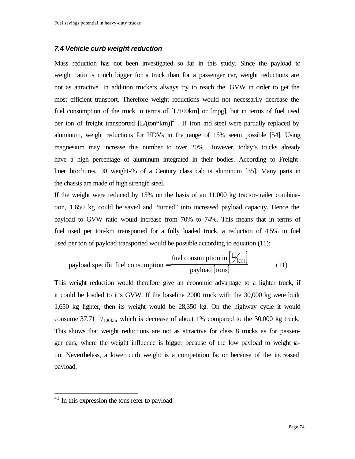#### *7.4 Vehicle curb weight reduction*

Mass reduction has not been investigated so far in this study. Since the payload to weight ratio is much bigger for a truck than for a passenger car, weight reductions are not as attractive. In addition truckers always try to reach the GVW in order to get the most efficient transport. Therefore weight reductions would not necessarily decrease the fuel consumption of the truck in terms of [L/100km] or [mpg], but in terms of fuel used per ton of freight transported  $[L/(ton*km)]^{41}$ . If iron and steel were partially replaced by aluminum, weight reductions for HDVs in the range of 15% seem possible [54]. Using magnesium may increase this number to over 20%. However, today's trucks already have a high percentage of aluminum integrated in their bodies. According to Freightliner brochures, 90 weight-% of a Century class cab is aluminum [35]. Many parts in the chassis are made of high strength steel.

If the weight were reduced by 15% on the basis of an 11,000 kg tractor-trailer combination, 1,650 kg could be saved and "turned" into increased payload capacity. Hence the payload to GVW ratio would increase from 70% to 74%. This means that in terms of fuel used per ton-km transported for a fully loaded truck, a reduction of 4.5% in fuel used per ton of payload transported would be possible according to equation (11):

payload specific fuel consumption = 
$$
\frac{\text{fuel consumption in } [\frac{L}{km}]}{\text{payload } \text{[tons]}}
$$
(11)

This weight reduction would therefore give an economic advantage to a lighter truck, if it could be loaded to it's GVW. If the baseline 2000 truck with the 30,000 kg were built 1,650 kg lighter, then its weight would be 28,350 kg. On the highway cycle it would consume 37.71  $L_{100km}$  which is decrease of about 1% compared to the 30,000 kg truck. This shows that weight reductions are not as attractive for class 8 trucks as for passenger cars, where the weight influence is bigger because of the low payload to weight  $a$ tio. Nevertheless, a lower curb weight is a competition factor because of the increased payload.

<sup>&</sup>lt;sup>41</sup> In this expression the tons refer to payload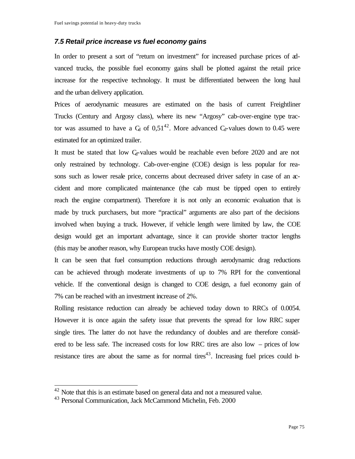#### *7.5 Retail price increase vs fuel economy gains*

In order to present a sort of "return on investment" for increased purchase prices of advanced trucks, the possible fuel economy gains shall be plotted against the retail price increase for the respective technology. It must be differentiated between the long haul and the urban delivery application.

Prices of aerodynamic measures are estimated on the basis of current Freightliner Trucks (Century and Argosy class), where its new "Argosy" cab-over-engine type tractor was assumed to have a  $C_d$  of 0,51<sup>42</sup>. More advanced  $C_d$ -values down to 0.45 were estimated for an optimized trailer.

It must be stated that low  $C_d$ -values would be reachable even before 2020 and are not only restrained by technology. Cab-over-engine (COE) design is less popular for reasons such as lower resale price, concerns about decreased driver safety in case of an  $\alpha$ cident and more complicated maintenance (the cab must be tipped open to entirely reach the engine compartment). Therefore it is not only an economic evaluation that is made by truck purchasers, but more "practical" arguments are also part of the decisions involved when buying a truck. However, if vehicle length were limited by law, the COE design would get an important advantage, since it can provide shorter tractor lengths (this may be another reason, why European trucks have mostly COE design).

It can be seen that fuel consumption reductions through aerodynamic drag reductions can be achieved through moderate investments of up to 7% RPI for the conventional vehicle. If the conventional design is changed to COE design, a fuel economy gain of 7% can be reached with an investment increase of 2%.

Rolling resistance reduction can already be achieved today down to RRCs of 0.0054. However it is once again the safety issue that prevents the spread for low RRC super single tires. The latter do not have the redundancy of doubles and are therefore considered to be less safe. The increased costs for low RRC tires are also low – prices of low resistance tires are about the same as for normal tires<sup>43</sup>. Increasing fuel prices could in-

 $42$  Note that this is an estimate based on general data and not a measured value.

<sup>&</sup>lt;sup>43</sup> Personal Communication, Jack McCammond Michelin, Feb. 2000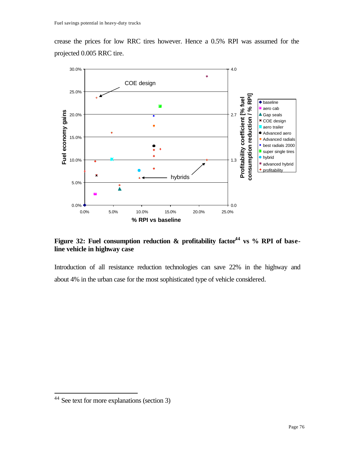crease the prices for low RRC tires however. Hence a 0.5% RPI was assumed for the projected 0.005 RRC tire.



Figure 32: Fuel consumption reduction & profitability factor<sup>44</sup> vs % RPI of base**line vehicle in highway case**

Introduction of all resistance reduction technologies can save 22% in the highway and about 4% in the urban case for the most sophisticated type of vehicle considered.

<sup>&</sup>lt;sup>44</sup> See text for more explanations (section 3)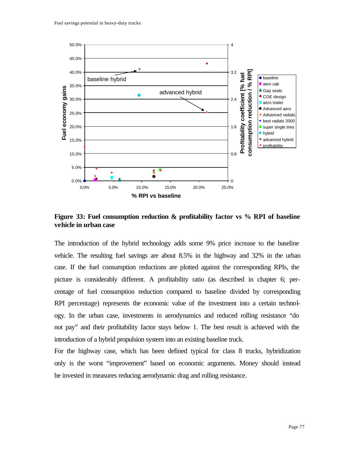

**Figure 33: Fuel consumption reduction & profitability factor vs % RPI of baseline vehicle in urban case**

The introduction of the hybrid technology adds some 9% price increase to the baseline vehicle. The resulting fuel savings are about 8.5% in the highway and 32% in the urban case. If the fuel consumption reductions are plotted against the corresponding RPIs, the picture is considerably different. A profitability ratio (as described in chapter 6; percentage of fuel consumption reduction compared to baseline divided by corresponding RPI percentage) represents the economic value of the investment into a certain technology. In the urban case, investments in aerodynamics and reduced rolling resistance "do not pay" and their profitability factor stays below 1. The best result is achieved with the introduction of a hybrid propulsion system into an existing baseline truck.

For the highway case, which has been defined typical for class 8 trucks, hybridization only is the worst "improvement" based on economic arguments. Money should instead be invested in measures reducing aerodynamic drag and rolling resistance.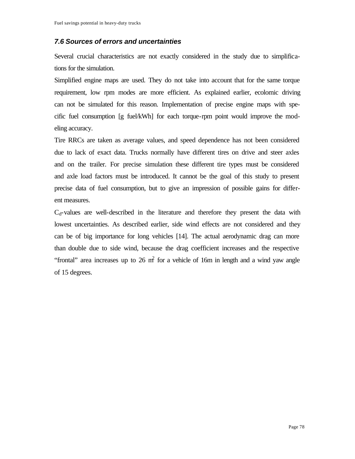#### *7.6 Sources of errors and uncertainties*

Several crucial characteristics are not exactly considered in the study due to simplifications for the simulation.

Simplified engine maps are used. They do not take into account that for the same torque requirement, low rpm modes are more efficient. As explained earlier, ecolomic driving can not be simulated for this reason. Implementation of precise engine maps with specific fuel consumption [g fuel/kWh] for each torque-rpm point would improve the modeling accuracy.

Tire RRCs are taken as average values, and speed dependence has not been considered due to lack of exact data. Trucks normally have different tires on drive and steer axles and on the trailer. For precise simulation these different tire types must be considered and axle load factors must be introduced. It cannot be the goal of this study to present precise data of fuel consumption, but to give an impression of possible gains for different measures.

 $C_d$ -values are well-described in the literature and therefore they present the data with lowest uncertainties. As described earlier, side wind effects are not considered and they can be of big importance for long vehicles [14]. The actual aerodynamic drag can more than double due to side wind, because the drag coefficient increases and the respective "frontal" area increases up to 26  $m<sup>2</sup>$  for a vehicle of 16m in length and a wind yaw angle of 15 degrees.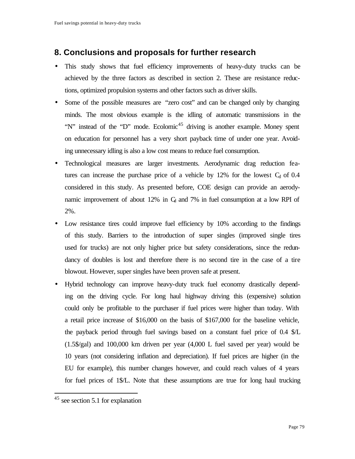# **8. Conclusions and proposals for further research**

- This study shows that fuel efficiency improvements of heavy-duty trucks can be achieved by the three factors as described in section 2. These are resistance reductions, optimized propulsion systems and other factors such as driver skills.
- Some of the possible measures are "zero cost" and can be changed only by changing minds. The most obvious example is the idling of automatic transmissions in the "N" instead of the "D" mode. Ecolomic<sup>45</sup> driving is another example. Money spent on education for personnel has a very short payback time of under one year. Avoiding unnecessary idling is also a low cost means to reduce fuel consumption.
- Technological measures are larger investments. Aerodynamic drag reduction features can increase the purchase price of a vehicle by  $12\%$  for the lowest  $C_d$  of 0.4 considered in this study. As presented before, COE design can provide an aerodynamic improvement of about 12% in  $C_d$  and 7% in fuel consumption at a low RPI of 2%.
- Low resistance tires could improve fuel efficiency by 10% according to the findings of this study. Barriers to the introduction of super singles (improved single tires used for trucks) are not only higher price but safety considerations, since the redundancy of doubles is lost and therefore there is no second tire in the case of a tire blowout. However, super singles have been proven safe at present.
- Hybrid technology can improve heavy-duty truck fuel economy drastically depending on the driving cycle. For long haul highway driving this (expensive) solution could only be profitable to the purchaser if fuel prices were higher than today. With a retail price increase of \$16,000 on the basis of \$167,000 for the baseline vehicle, the payback period through fuel savings based on a constant fuel price of 0.4 \$/L (1.5\$/gal) and 100,000 km driven per year (4,000 L fuel saved per year) would be 10 years (not considering inflation and depreciation). If fuel prices are higher (in the EU for example), this number changes however, and could reach values of 4 years for fuel prices of 1\$/L. Note that these assumptions are true for long haul trucking

<sup>45</sup> see section 5.1 for explanation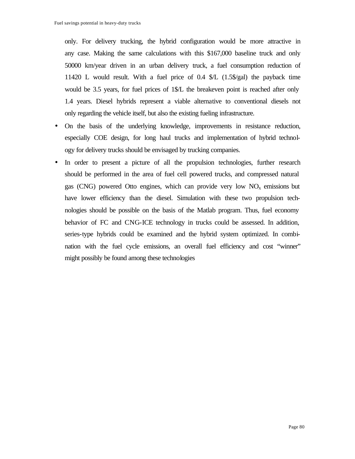only. For delivery trucking, the hybrid configuration would be more attractive in any case. Making the same calculations with this \$167,000 baseline truck and only 50000 km/year driven in an urban delivery truck, a fuel consumption reduction of 11420 L would result. With a fuel price of 0.4 \$/L (1.5\$/gal) the payback time would be 3.5 years, for fuel prices of 1\$/L the breakeven point is reached after only 1.4 years. Diesel hybrids represent a viable alternative to conventional diesels not only regarding the vehicle itself, but also the existing fueling infrastructure.

- On the basis of the underlying knowledge, improvements in resistance reduction, especially COE design, for long haul trucks and implementation of hybrid technology for delivery trucks should be envisaged by trucking companies.
- In order to present a picture of all the propulsion technologies, further research should be performed in the area of fuel cell powered trucks, and compressed natural gas (CNG) powered Otto engines, which can provide very low  $NO<sub>x</sub>$  emissions but have lower efficiency than the diesel. Simulation with these two propulsion technologies should be possible on the basis of the Matlab program. Thus, fuel economy behavior of FC and CNG-ICE technology in trucks could be assessed. In addition, series-type hybrids could be examined and the hybrid system optimized. In combination with the fuel cycle emissions, an overall fuel efficiency and cost "winner" might possibly be found among these technologies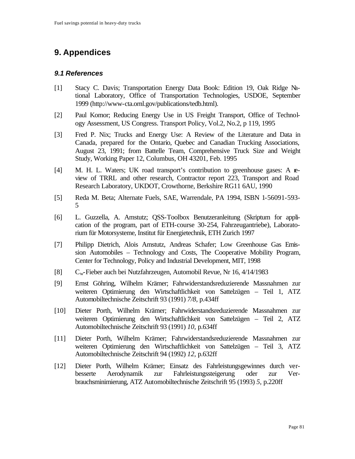# **9. Appendices**

#### *9.1 References*

- [1] Stacy C. Davis; Transportation Energy Data Book: Edition 19, Oak Ridge National Laboratory, Office of Transportation Technologies, USDOE, September 1999 (http://www-cta.ornl.gov/publications/tedb.html).
- [2] Paul Komor; Reducing Energy Use in US Freight Transport, Office of Technology Assessment, US Congress. Transport Policy, Vol.2, No.2, p 119, 1995
- [3] Fred P. Nix; Trucks and Energy Use: A Review of the Literature and Data in Canada, prepared for the Ontario, Quebec and Canadian Trucking Associations, August 23, 1991; from Battelle Team, Comprehensive Truck Size and Weight Study, Working Paper 12, Columbus, OH 43201, Feb. 1995
- [4] M. H. L. Waters; UK road transport's contribution to greenhouse gases: A review of TRRL and other research, Contractor report 223, Transport and Road Research Laboratory, UKDOT, Crowthorne, Berkshire RG11 6AU, 1990
- [5] Reda M. Beta; Alternate Fuels, SAE, Warrendale, PA 1994, ISBN 1-56091-593- 5
- [6] L. Guzzella, A. Amstutz; QSS-Toolbox Benutzeranleitung (Skriptum for application of the program, part of ETH-course 30-254, Fahrzeugantriebe), Laboratorium für Motorsysteme, Institut für Energietechnik, ETH Zurich 1997
- [7] Philipp Dietrich, Alois Amstutz, Andreas Schafer; Low Greenhouse Gas Emission Automobiles – Technology and Costs, The Cooperative Mobility Program, Center for Technology, Policy and Industrial Development, MIT, 1998
- [8] Cw-Fieber auch bei Nutzfahrzeugen, Automobil Revue, Nr 16, 4/14/1983
- [9] Ernst Göhring, Wilhelm Krämer; Fahrwiderstandsreduzierende Massnahmen zur weiteren Optimierung den Wirtschaftlichkeit von Sattelzügen – Teil 1, ATZ Automobiltechnische Zeitschrift 93 (1991) *7/8,* p.434ff
- [10] Dieter Porth, Wilhelm Krämer; Fahrwiderstandsreduzierende Massnahmen zur weiteren Optimierung den Wirtschaftlichkeit von Sattelzügen – Teil 2, ATZ Automobiltechnische Zeitschrift 93 (1991) *10,* p.634ff
- [11] Dieter Porth, Wilhelm Krämer; Fahrwiderstandsreduzierende Massnahmen zur weiteren Optimierung den Wirtschaftlichkeit von Sattelzügen – Teil 3, ATZ Automobiltechnische Zeitschrift 94 (1992) *12,* p.632ff
- [12] Dieter Porth, Wilhelm Krämer; Einsatz des Fahrleistungsgewinnes durch verbesserte Aerodynamik zur Fahrleistungssteigerung oder zur Verbrauchsminimierung, ATZ Automobiltechnische Zeitschrift 95 (1993) *5,* p.220ff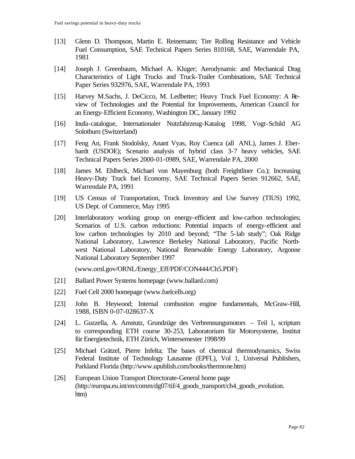- [13] Glenn D. Thompson, Martin E. Reinemann; Tire Rolling Resistance and Vehicle Fuel Consumption, SAE Technical Papers Series 810168, SAE, Warrendale PA, 1981
- [14] Joseph J. Greenbaum, Michael A. Kluger; Aerodynamic and Mechanical Drag Characteristics of Light Trucks and Truck-Trailer Combinations, SAE Technical Paper Series 932976, SAE, Warrendale PA, 1993
- [15] Harvey M.Sachs, J. DeCicco, M. Ledbetter; Heavy Truck Fuel Economy: A Review of Technologies and the Potential for Improvements, American Council for an Energy-Efficient Economy, Washington DC, January 1992
- [16] Inufa-catalogue, Internationaler Nutzfahrzeug-Katalog 1998, Vogt-Schild AG Solothurn (Switzerland)
- [17] Feng An, Frank Stodolsky, Anant Vyas, Roy Cuenca (all ANL), James J. Eberhardt (USDOE); Scenario analysis of hybrid class 3-7 heavy vehicles, SAE Technical Papers Series 2000-01-0989, SAE, Warrendale PA, 2000
- [18] James M. Ehlbeck, Michael von Mayenburg (both Freightliner Co.); Increasing Heavy-Duty Truck fuel Economy, SAE Technical Papers Series 912662, SAE, Warrendale PA, 1991
- [19] US Census of Transportation, Truck Inventory and Use Survey (TIUS) 1992, US Dept. of Commerce, May 1995
- [20] Interlaboratory working group on energy-efficient and low-carbon technologies; Scenarios of U.S. carbon reductions: Potential impacts of energy-efficient and low carbon technologies by 2010 and beyond; "The 5-lab study"; Oak Ridge National Laboratory, Lawrence Berkeley National Laboratory, Pacific Northwest National Laboratory, National Renewable Energy Laboratory, Argonne National Laboratory September 1997

(www.ornl.gov/ORNL/Energy\_Eff/PDF/CON444/Ch5.PDF)

- [21] Ballard Power Systems homepage (www.ballard.com)
- [22] Fuel Cell 2000 homepage (www.fuelcells.org)
- [23] John B. Heywood; Internal combustion engine fundamentals, McGraw-Hill, 1988, ISBN 0-07-028637-X
- [24] L. Guzzella, A. Amstutz, Grundzüge des Verbrennungsmotors Teil 1, scriptum to corresponding ETH course 30-253, Laboratorium für Motorsysteme, Institut für Energietechnik, ETH Zürich, Wintersemester 1998/99
- [25] Michael Grätzel, Pierre Infelta; The bases of chemical thermodynamics, Swiss Federal Institute of Technology Lausanne (EPFL), Vol 1, Universal Publishers, Parkland Florida (http://www.upublish.com/books/thermone.htm)
- [26] European Union Transport Directorate-General home page (http://europa.eu.int/en/comm/dg07/tif/4\_goods\_transport/ch4\_goods\_evolution. htm)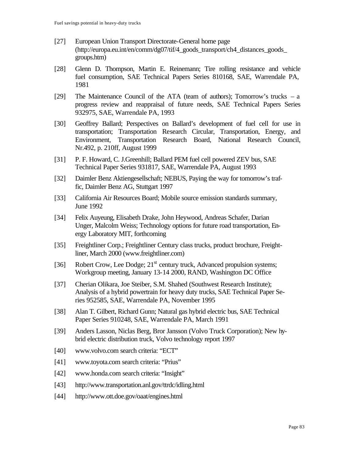- [27] European Union Transport Directorate-General home page (http://europa.eu.int/en/comm/dg07/tif/4\_goods\_transport/ch4\_distances\_goods\_ groups.htm)
- [28] Glenn D. Thompson, Martin E. Reinemann; Tire rolling resistance and vehicle fuel consumption, SAE Technical Papers Series 810168, SAE, Warrendale PA, 1981
- [29] The Maintenance Council of the ATA (team of authors); Tomorrow's trucks a progress review and reappraisal of future needs, SAE Technical Papers Series 932975, SAE, Warrendale PA, 1993
- [30] Geoffrey Ballard; Perspectives on Ballard's development of fuel cell for use in transportation; Transportation Research Circular, Transportation, Energy, and Environment, Transportation Research Board, National Research Council, Nr.492, p. 210ff, August 1999
- [31] P. F. Howard, C. J.Greenhill; Ballard PEM fuel cell powered ZEV bus, SAE Technical Paper Series 931817, SAE, Warrendale PA, August 1993
- [32] Daimler Benz Aktiengesellschaft; NEBUS, Paying the way for tomorrow's traffic, Daimler Benz AG, Stuttgart 1997
- [33] California Air Resources Board; Mobile source emission standards summary, June 1992
- [34] Felix Auyeung, Elisabeth Drake, John Heywood, Andreas Schafer, Darian Unger, Malcolm Weiss; Technology options for future road transportation, Energy Laboratory MIT, forthcoming
- [35] Freightliner Corp.; Freightliner Century class trucks, product brochure, Freightliner, March 2000 (www.freightliner.com)
- [36] Robert Crow, Lee Dodge;  $21<sup>st</sup>$  century truck, Advanced propulsion systems; Workgroup meeting, January 13-14 2000, RAND, Washington DC Office
- [37] Cherian Olikara, Joe Steiber, S.M. Shahed (Southwest Research Institute); Analysis of a hybrid powertrain for heavy duty trucks, SAE Technical Paper Series 952585, SAE, Warrendale PA, November 1995
- [38] Alan T. Gilbert, Richard Gunn; Natural gas hybrid electric bus, SAE Technical Paper Series 910248, SAE, Warrendale PA, March 1991
- [39] Anders Lasson, Niclas Berg, Bror Jansson (Volvo Truck Corporation); New hybrid electric distribution truck, Volvo technology report 1997
- [40] www.volvo.com search criteria: "ECT"
- [41] www.toyota.com search criteria: "Prius"
- [42] www.honda.com search criteria: "Insight"
- [43] http://www.transportation.anl.gov/ttrdc/idling.html
- [44] http://www.ott.doe.gov/oaat/engines.html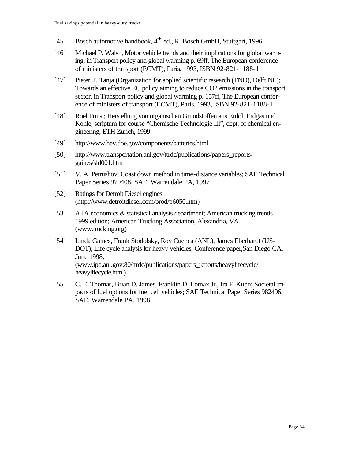- [45] Bosch automotive handbook, 4<sup>th</sup> ed., R. Bosch GmbH, Stuttgart, 1996
- [46] Michael P. Walsh, Motor vehicle trends and their implications for global warming, in Transport policy and global warming p. 69ff, The European conference of ministers of transport (ECMT), Paris, 1993, ISBN 92-821-1188-1
- [47] Pieter T. Tanja (Organization for applied scientific research (TNO), Delft NL); Towards an effective EC policy aiming to reduce CO2 emissions in the transport sector, in Transport policy and global warming p. 157ff, The European conference of ministers of transport (ECMT), Paris, 1993, ISBN 92-821-1188-1
- [48] Roel Prins ; Herstellung von organischen Grundstoffen aus Erdöl, Erdgas und Kohle, scriptum for course "Chemische Technologie III", dept. of chemical engineering, ETH Zurich, 1999
- [49] http://www.hev.doe.gov/components/batteries.html
- [50] http://www.transportation.anl.gov/ttrdc/publications/papers\_reports/ gaines/sld001.htm
- [51] V. A. Petrushov; Coast down method in time-distance variables; SAE Technical Paper Series 970408, SAE, Warrendale PA, 1997
- [52] Ratings for Detroit Diesel engines (http://www.detroitdiesel.com/prod/p6050.htm)
- [53] ATA economics & statistical analysis department; American trucking trends 1999 edition; American Trucking Association, Alexandria, VA (www.trucking.org)
- [54] Linda Gaines, Frank Stodolsky, Roy Cuenca (ANL), James Eberhardt (US-DOT); Life cycle analysis for heavy vehicles, Conference paper,San Diego CA, June 1998; (www.ipd.anl.gov:80/ttrdc/publications/papers\_reports/heavylifecycle/ heavylifecycle.html)
- [55] C. E. Thomas, Brian D. James, Franklin D. Lomax Jr., Ira F. Kuhn; Societal impacts of fuel options for fuel cell vehicles; SAE Technical Paper Series 982496, SAE, Warrendale PA, 1998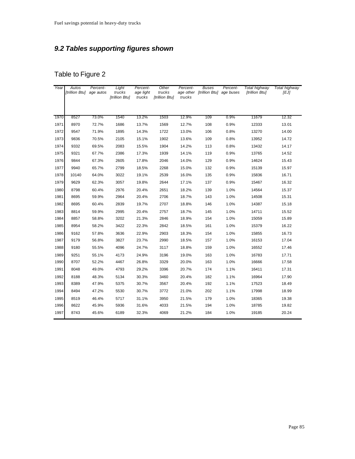## *9.2 Tables supporting figures shown*

| Year | <b>Autos</b><br>[trillion Btu] | Percent-<br>age autos | Light<br>trucks<br>[trillion Btu] | Percent-<br>age light<br>trucks | Other<br>trucks<br>[trillion Btu] | Percent-<br>age other<br>trucks | <b>Buses</b><br>[trillion Btu] | Percent-<br>age buses | Total highway<br>[trillion Btu] | Total highway<br>[EJ] |
|------|--------------------------------|-----------------------|-----------------------------------|---------------------------------|-----------------------------------|---------------------------------|--------------------------------|-----------------------|---------------------------------|-----------------------|
|      |                                |                       |                                   |                                 |                                   |                                 |                                |                       |                                 |                       |
| 1970 | 8527                           | 73.0%                 | 1540                              | 13.2%                           | 1503                              | 12.9%                           | 109                            | 0.9%                  | 11679                           | 12.32                 |
| 1971 | 8970                           | 72.7%                 | 1686                              | 13.7%                           | 1569                              | 12.7%                           | 108                            | 0.9%                  | 12333                           | 13.01                 |
| 1972 | 9547                           | 71.9%                 | 1895                              | 14.3%                           | 1722                              | 13.0%                           | 106                            | 0.8%                  | 13270                           | 14.00                 |
| 1973 | 9836                           | 70.5%                 | 2105                              | 15.1%                           | 1902                              | 13.6%                           | 109                            | 0.8%                  | 13952                           | 14.72                 |
| 1974 | 9332                           | 69.5%                 | 2083                              | 15.5%                           | 1904                              | 14.2%                           | 113                            | 0.8%                  | 13432                           | 14.17                 |
| 1975 | 9321                           | 67.7%                 | 2386                              | 17.3%                           | 1939                              | 14.1%                           | 119                            | 0.9%                  | 13765                           | 14.52                 |
| 1976 | 9844                           | 67.3%                 | 2605                              | 17.8%                           | 2046                              | 14.0%                           | 129                            | 0.9%                  | 14624                           | 15.43                 |
| 1977 | 9940                           | 65.7%                 | 2799                              | 18.5%                           | 2268                              | 15.0%                           | 132                            | 0.9%                  | 15139                           | 15.97                 |
| 1978 | 10140                          | 64.0%                 | 3022                              | 19.1%                           | 2539                              | 16.0%                           | 135                            | 0.9%                  | 15836                           | 16.71                 |
| 1979 | 9629                           | 62.3%                 | 3057                              | 19.8%                           | 2644                              | 17.1%                           | 137                            | $0.9\%$               | 15467                           | 16.32                 |
| 1980 | 8798                           | 60.4%                 | 2976                              | 20.4%                           | 2651                              | 18.2%                           | 139                            | 1.0%                  | 14564                           | 15.37                 |
| 1981 | 8695                           | 59.9%                 | 2964                              | 20.4%                           | 2706                              | 18.7%                           | 143                            | 1.0%                  | 14508                           | 15.31                 |
| 1982 | 8695                           | 60.4%                 | 2839                              | 19.7%                           | 2707                              | 18.8%                           | 146                            | 1.0%                  | 14387                           | 15.18                 |
| 1983 | 8814                           | 59.9%                 | 2995                              | 20.4%                           | 2757                              | 18.7%                           | 145                            | 1.0%                  | 14711                           | 15.52                 |
| 1984 | 8857                           | 58.8%                 | 3202                              | 21.3%                           | 2846                              | 18.9%                           | 154                            | 1.0%                  | 15059                           | 15.89                 |
| 1985 | 8954                           | 58.2%                 | 3422                              | 22.3%                           | 2842                              | 18.5%                           | 161                            | 1.0%                  | 15379                           | 16.22                 |
| 1986 | 9162                           | 57.8%                 | 3636                              | 22.9%                           | 2903                              | 18.3%                           | 154                            | 1.0%                  | 15855                           | 16.73                 |
| 1987 | 9179                           | 56.8%                 | 3827                              | 23.7%                           | 2990                              | 18.5%                           | 157                            | 1.0%                  | 16153                           | 17.04                 |
| 1988 | 9180                           | 55.5%                 | 4096                              | 24.7%                           | 3117                              | 18.8%                           | 159                            | 1.0%                  | 16552                           | 17.46                 |
| 1989 | 9251                           | 55.1%                 | 4173                              | 24.9%                           | 3196                              | 19.0%                           | 163                            | 1.0%                  | 16783                           | 17.71                 |
| 1990 | 8707                           | 52.2%                 | 4467                              | 26.8%                           | 3329                              | 20.0%                           | 163                            | 1.0%                  | 16666                           | 17.58                 |
| 1991 | 8048                           | 49.0%                 | 4793                              | 29.2%                           | 3396                              | 20.7%                           | 174                            | 1.1%                  | 16411                           | 17.31                 |
| 1992 | 8188                           | 48.3%                 | 5134                              | 30.3%                           | 3460                              | 20.4%                           | 182                            | 1.1%                  | 16964                           | 17.90                 |
| 1993 | 8389                           | 47.9%                 | 5375                              | 30.7%                           | 3567                              | 20.4%                           | 192                            | 1.1%                  | 17523                           | 18.49                 |
| 1994 | 8494                           | 47.2%                 | 5530                              | 30.7%                           | 3772                              | 21.0%                           | 202                            | 1.1%                  | 17998                           | 18.99                 |
| 1995 | 8519                           | 46.4%                 | 5717                              | 31.1%                           | 3950                              | 21.5%                           | 179                            | 1.0%                  | 18365                           | 19.38                 |
| 1996 | 8622                           | 45.9%                 | 5936                              | 31.6%                           | 4033                              | 21.5%                           | 194                            | 1.0%                  | 18785                           | 19.82                 |
| 1997 | 8743                           | 45.6%                 | 6189                              | 32.3%                           | 4069                              | 21.2%                           | 184                            | 1.0%                  | 19185                           | 20.24                 |
|      |                                |                       |                                   |                                 |                                   |                                 |                                |                       |                                 |                       |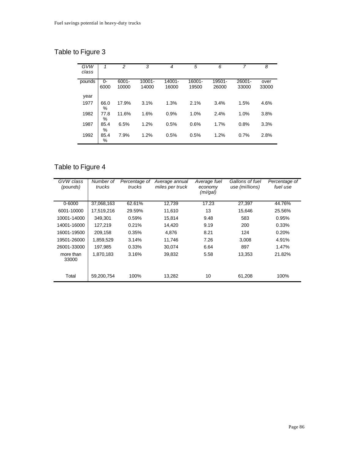| GVW<br>class | 1         | $\overline{2}$ | 3         | 4      | 5      | 6      | 7      | 8     |
|--------------|-----------|----------------|-----------|--------|--------|--------|--------|-------|
| pounds       | 0-        | $6001 -$       | $10001 -$ | 14001- | 16001- | 19501- | 26001- | over  |
|              | 6000      | 10000          | 14000     | 16000  | 19500  | 26000  | 33000  | 33000 |
| year         |           |                |           |        |        |        |        |       |
| 1977         | 66.0<br>% | 17.9%          | 3.1%      | 1.3%   | 2.1%   | 3.4%   | 1.5%   | 4.6%  |
| 1982         | 77.8<br>% | 11.6%          | 1.6%      | 0.9%   | 1.0%   | 2.4%   | 1.0%   | 3.8%  |
| 1987         | 85.4<br>% | 6.5%           | 1.2%      | 0.5%   | 0.6%   | 1.7%   | 0.8%   | 3.3%  |
| 1992         | 85.4<br>% | 7.9%           | 1.2%      | 0.5%   | 0.5%   | 1.2%   | 0.7%   | 2.8%  |

| GVW class<br>(pounds) | Number of<br>trucks | Percentage of<br>trucks | Average annual<br>miles per truck | Average fuel<br>economy<br>(mi/gal) | Gallons of fuel<br>use (millions) | Percentage of<br>fuel use |
|-----------------------|---------------------|-------------------------|-----------------------------------|-------------------------------------|-----------------------------------|---------------------------|
| $0 - 6000$            | 37,068,163          | 62.61%                  | 12,739                            | 17.23                               | 27,397                            | 44.76%                    |
| 6001-10000            | 17,519,216          | 29.59%                  | 11.610                            | 13                                  | 15.646                            | 25.56%                    |
| 10001-14000           | 349.301             | 0.59%                   | 15.814                            | 9.48                                | 583                               | 0.95%                     |
| 14001-16000           | 127,219             | 0.21%                   | 14,420                            | 9.19                                | 200                               | 0.33%                     |
| 16001-19500           | 209,158             | 0.35%                   | 4,876                             | 8.21                                | 124                               | 0.20%                     |
| 19501-26000           | 1,859,529           | 3.14%                   | 11.746                            | 7.26                                | 3,008                             | 4.91%                     |
| 26001-33000           | 197.985             | 0.33%                   | 30,074                            | 6.64                                | 897                               | 1.47%                     |
| more than<br>33000    | 1.870.183           | 3.16%                   | 39,832                            | 5.58                                | 13,353                            | 21.82%                    |
| Total                 | 59,200,754          | 100%                    | 13,282                            | 10                                  | 61,208                            | 100%                      |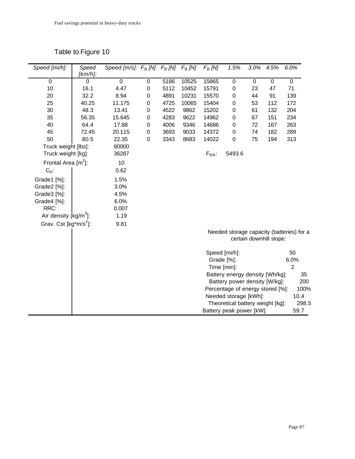| Speed [mi/h]:             | Speed<br>$[km/h]$ : | Speed [m/s]: $F_B$ [N] $F_B$ [N] $F_B$ [N] |                  |      |       | $F_B$ [N]  | 1.5%                             | 3.0% | 4.5%                    | 6.0%                                      |
|---------------------------|---------------------|--------------------------------------------|------------------|------|-------|------------|----------------------------------|------|-------------------------|-------------------------------------------|
| 0                         | $\Omega$            | 0                                          | 0                | 5186 | 10525 | 15865      | $\pmb{0}$                        | 0    | $\pmb{0}$               | 0                                         |
| 10                        | 16.1                | 4.47                                       | $\boldsymbol{0}$ | 5112 | 10452 | 15791      | 0                                | 23   | 47                      | 71                                        |
| 20                        | 32.2                | 8.94                                       | 0                | 4891 | 10231 | 15570      | $\mathbf 0$                      | 44   | 91                      | 139                                       |
| 25                        | 40.25               | 11.175                                     | $\boldsymbol{0}$ | 4725 | 10065 | 15404      | 0                                | 53   | 112                     | 172                                       |
| 30                        | 48.3                | 13.41                                      | $\boldsymbol{0}$ | 4522 | 9862  | 15202      | $\mathsf 0$                      | 61   | 132                     | 204                                       |
| 35                        | 56.35               | 15.645                                     | $\boldsymbol{0}$ | 4283 | 9622  | 14962      | $\boldsymbol{0}$                 | 67   | 151                     | 234                                       |
| 40                        | 64.4                | 17.88                                      | 0                | 4006 | 9346  | 14686      | $\mathbf 0$                      | 72   | 167                     | 263                                       |
| 45                        | 72.45               | 20.115                                     | $\boldsymbol{0}$ | 3693 | 9033  | 14372      | $\mathbf 0$                      | 74   | 182                     | 289                                       |
| 50                        | 80.5                | 22.35                                      | $\boldsymbol{0}$ | 3343 | 8683  | 14022      | $\mathbf 0$                      | 75   | 194                     | 313                                       |
| Truck weight [lbs]:       |                     | 80000                                      |                  |      |       |            |                                  |      |                         |                                           |
| Truck weight [kg]:        |                     | 36287                                      |                  |      |       | $F_{RR}$ : | 5493.6                           |      |                         |                                           |
| Frontal Area $[m^2]$ :    |                     | 10                                         |                  |      |       |            |                                  |      |                         |                                           |
| $C_D$ :                   |                     | 0.62                                       |                  |      |       |            |                                  |      |                         |                                           |
| Grade1 [%]:               |                     | 1.5%                                       |                  |      |       |            |                                  |      |                         |                                           |
| Grade2 [%]:               |                     | 3.0%                                       |                  |      |       |            |                                  |      |                         |                                           |
| Grade3 [%]:               |                     | 4.5%                                       |                  |      |       |            |                                  |      |                         |                                           |
| Grade4 [%]:               |                     | 6.0%                                       |                  |      |       |            |                                  |      |                         |                                           |
| RRC:                      |                     | 0.007                                      |                  |      |       |            |                                  |      |                         |                                           |
| Air density $[kg/m^3]$ :  |                     | 1.19                                       |                  |      |       |            |                                  |      |                         |                                           |
| Grav. Cst [ $kg*m/s^2$ ]: |                     | 9.81                                       |                  |      |       |            |                                  |      |                         |                                           |
|                           |                     |                                            |                  |      |       |            |                                  |      |                         | Needed storage capacity (batteries) for a |
|                           |                     |                                            |                  |      |       |            |                                  |      | certain downhill slope: |                                           |
|                           |                     |                                            |                  |      |       |            | Speed [mi/h]:                    |      |                         | 50                                        |
|                           |                     |                                            |                  |      |       |            | Grade [%]:                       |      |                         | 6.0%                                      |
|                           |                     |                                            |                  |      |       |            | Time [min]:                      |      |                         | $\overline{2}$                            |
|                           |                     |                                            |                  |      |       |            | Battery energy density [Wh/kg]:  |      |                         | 35                                        |
|                           |                     |                                            |                  |      |       |            | Battery power density [W/kg]:    |      |                         | 200                                       |
|                           |                     |                                            |                  |      |       |            | Percentage of energy stored [%]: |      |                         | 100%                                      |
|                           |                     |                                            |                  |      |       |            | Needed storage [kWh]:            |      |                         | 10.4                                      |
|                           |                     |                                            |                  |      |       |            | Theoretical battery weight [kg]: |      |                         | 298.5                                     |
|                           |                     |                                            |                  |      |       |            | Battery peak power [kW]:         |      |                         | 59.7                                      |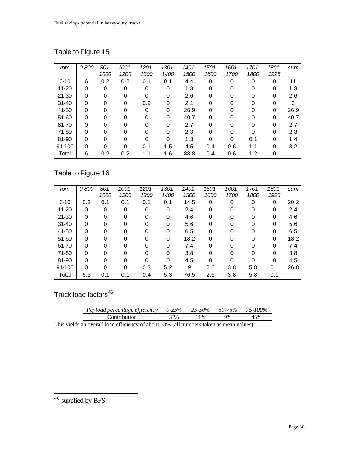| rpm       | 0-800 | $801 -$  | $1001 -$     | $1201 -$ | $1301 -$ | 1401- | 1501-    | $1601 -$ | 1701- | 1801-    | sum  |
|-----------|-------|----------|--------------|----------|----------|-------|----------|----------|-------|----------|------|
|           |       | 1000     | 1200         | 1300     | 1400     | 1500  | 1600     | 1700     | 1800  | 1925     |      |
| $0 - 10$  | 6     | 0.2      | 0.2          | 0.1      | 0.1      | 4.4   | $\Omega$ | 0        | 0     | 0        | 11   |
| $11 - 20$ | 0     | 0        | 0            | 0        | 0        | 1.3   | 0        | 0        | 0     | 0        | 1.3  |
| $21 - 30$ | 0     | 0        | 0            | 0        | 0        | 2.6   | 0        | 0        | 0     | 0        | 2.6  |
| $31 - 40$ | 0     | 0        | 0            | 0.9      | 0        | 2.1   | 0        | 0        | 0     | $\Omega$ | 3    |
| 41-50     | 0     | 0        | 0            | 0        | $\Omega$ | 26.9  | 0        | 0        |       | 0        | 26.9 |
| $51 - 60$ | 0     | $\Omega$ | $\Omega$     | 0        | $\Omega$ | 40.7  | $\Omega$ | 0        | 0     | 0        | 40.7 |
| 61-70     | 0     | $\Omega$ | <sup>0</sup> | $\Omega$ | 0        | 2.7   | 0        | $\Omega$ | 0     | $\Omega$ | 2.7  |
| 71-80     | 0     | $\Omega$ | 0            | 0        | 0        | 2.3   | 0        | $\Omega$ | 0     | 0        | 2.3  |
| 81-90     | 0     | 0        | $\Omega$     | 0        | 0        | 1.3   | 0        | 0        | 0.1   | 0        | 1.4  |
| 91-100    | 0     | 0        | 0            | 0.1      | 1.5      | 4.5   | 0.4      | 0.6      | 1.1   | $\Omega$ | 8.2  |
| Total     | 6     | 0.2      | 0.2          | 1.1      | 1.6      | 88.8  | 0.4      | 0.6      | 1.2   | 0        |      |

# Table to Figure 16

| rpm       | 0-800    | $801 -$  | $1001 -$ | $1201 -$ | $1301 -$ | 1401- | 1501- | $1601 -$ | $1701 -$    | 1801-       | sum  |
|-----------|----------|----------|----------|----------|----------|-------|-------|----------|-------------|-------------|------|
|           |          | 1000     | 1200     | 1300     | 1400     | 1500  | 1600  | 1700     | 1800        | 1925        |      |
| $0 - 10$  | 5.3      | 0.1      | 0.1      | 0.1      | 0.1      | 14.5  | 0     | $\Omega$ | $\mathbf 0$ | 0           | 20.2 |
| $11 - 20$ | 0        | 0        | 0        | 0        | 0        | 2.4   | 0     | 0        | 0           | 0           | 2.4  |
| $21 - 30$ | $\Omega$ | 0        | 0        | 0        | 0        | 4.6   | 0     | 0        | 0           | 0           | 4.6  |
| $31 - 40$ | 0        | $\Omega$ | $\Omega$ | 0        | 0        | 5.6   | 0     | $\Omega$ | 0           | 0           | 5.6  |
| 41-50     | $\Omega$ | $\Omega$ | $\Omega$ | 0        | 0        | 6.5   | 0     | $\Omega$ | $\Omega$    | 0           | 6.5  |
| 51-60     | $\Omega$ | $\Omega$ | $\Omega$ | 0        | 0        | 18.2  | 0     | $\Omega$ | 0           | 0           | 18.2 |
| 61-70     | 0        | $\Omega$ | $\Omega$ | 0        | 0        | 7.4   | 0     | $\Omega$ | 0           | $\mathbf 0$ | 7.4  |
| 71-80     | $\Omega$ | $\Omega$ | $\Omega$ | 0        | 0        | 3.8   | 0     | $\Omega$ | 0           | 0           | 3.8  |
| 81-90     | $\Omega$ | $\Omega$ | $\Omega$ | 0        | 0        | 4.5   | 0     | 0        | 0           | 0           | 4.5  |
| 91-100    | $\Omega$ | $\Omega$ | $\Omega$ | 0.3      | 5.2      | 9     | 2.6   | 3.8      | 5.8         | 0.1         | 26.8 |
| Total     | 5.3      | 0.1      | 0.1      | 0.4      | 5.3      | 76.5  | 2.6   | 3.8      | 5.8         | 0.1         |      |

Truck load factors<sup>46</sup>

| Payload percentage efficiency $\vert 0.25\% 25.50\% 50.75\% 75.100\%$                                                                                                                                                                                                                                       |     |     |    |     |
|-------------------------------------------------------------------------------------------------------------------------------------------------------------------------------------------------------------------------------------------------------------------------------------------------------------|-----|-----|----|-----|
| Contribution                                                                                                                                                                                                                                                                                                | 35% | 11% | 9% | 45% |
| $\mathbf{a}$ , $\mathbf{a}$ , $\mathbf{a}$ , $\mathbf{a}$ , $\mathbf{a}$ , $\mathbf{a}$ , $\mathbf{a}$ , $\mathbf{a}$ , $\mathbf{a}$ , $\mathbf{a}$ , $\mathbf{a}$ , $\mathbf{a}$ , $\mathbf{a}$ , $\mathbf{a}$ , $\mathbf{a}$ , $\mathbf{a}$ , $\mathbf{a}$ , $\mathbf{a}$ , $\mathbf{a}$ , $\mathbf{a}$ , |     |     |    |     |

This yields an overall load efficiency of about 53% (all numbers taken as mean values)

 $46$  supplied by BFS